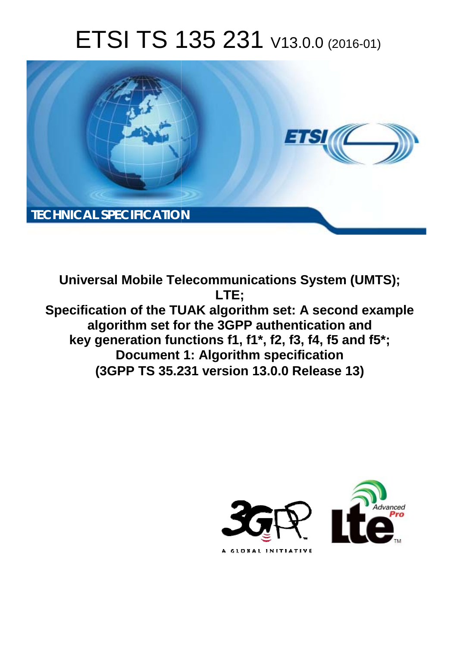# ETSI TS 135 231 V13.0.0 (2016-01)



**Universal Mobile Tel elecommunications System ( (UMTS);** Specification of the TUAK algorithm set: A second example **algorithm set fo for the 3GPP authentication a and key generation fun unctions f1, f1\*, f2, f3, f4, f5 an and f5\*; Document 1: Algorithm specification (3GPP TS 35.2 .231 version 13.0.0 Release 13 13) LTE;** 

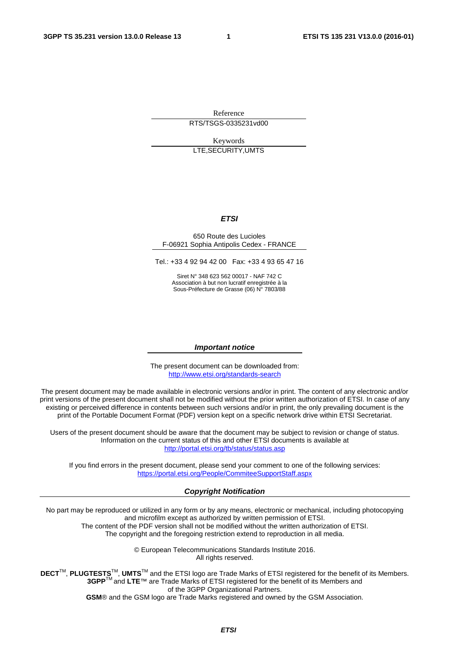Reference RTS/TSGS-0335231vd00

Keywords LTE,SECURITY,UMTS

#### *ETSI*

#### 650 Route des Lucioles F-06921 Sophia Antipolis Cedex - FRANCE

Tel.: +33 4 92 94 42 00 Fax: +33 4 93 65 47 16

Siret N° 348 623 562 00017 - NAF 742 C Association à but non lucratif enregistrée à la Sous-Préfecture de Grasse (06) N° 7803/88

#### *Important notice*

The present document can be downloaded from: <http://www.etsi.org/standards-search>

The present document may be made available in electronic versions and/or in print. The content of any electronic and/or print versions of the present document shall not be modified without the prior written authorization of ETSI. In case of any existing or perceived difference in contents between such versions and/or in print, the only prevailing document is the print of the Portable Document Format (PDF) version kept on a specific network drive within ETSI Secretariat.

Users of the present document should be aware that the document may be subject to revision or change of status. Information on the current status of this and other ETSI documents is available at <http://portal.etsi.org/tb/status/status.asp>

If you find errors in the present document, please send your comment to one of the following services: <https://portal.etsi.org/People/CommiteeSupportStaff.aspx>

#### *Copyright Notification*

No part may be reproduced or utilized in any form or by any means, electronic or mechanical, including photocopying and microfilm except as authorized by written permission of ETSI.

The content of the PDF version shall not be modified without the written authorization of ETSI. The copyright and the foregoing restriction extend to reproduction in all media.

> © European Telecommunications Standards Institute 2016. All rights reserved.

**DECT**TM, **PLUGTESTS**TM, **UMTS**TM and the ETSI logo are Trade Marks of ETSI registered for the benefit of its Members. **3GPP**TM and **LTE**™ are Trade Marks of ETSI registered for the benefit of its Members and of the 3GPP Organizational Partners.

**GSM**® and the GSM logo are Trade Marks registered and owned by the GSM Association.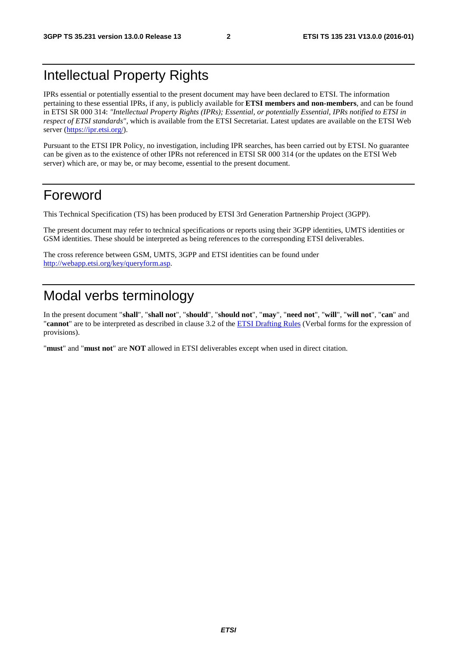### Intellectual Property Rights

IPRs essential or potentially essential to the present document may have been declared to ETSI. The information pertaining to these essential IPRs, if any, is publicly available for **ETSI members and non-members**, and can be found in ETSI SR 000 314: *"Intellectual Property Rights (IPRs); Essential, or potentially Essential, IPRs notified to ETSI in respect of ETSI standards"*, which is available from the ETSI Secretariat. Latest updates are available on the ETSI Web server [\(https://ipr.etsi.org/](https://ipr.etsi.org/)).

Pursuant to the ETSI IPR Policy, no investigation, including IPR searches, has been carried out by ETSI. No guarantee can be given as to the existence of other IPRs not referenced in ETSI SR 000 314 (or the updates on the ETSI Web server) which are, or may be, or may become, essential to the present document.

### Foreword

This Technical Specification (TS) has been produced by ETSI 3rd Generation Partnership Project (3GPP).

The present document may refer to technical specifications or reports using their 3GPP identities, UMTS identities or GSM identities. These should be interpreted as being references to the corresponding ETSI deliverables.

The cross reference between GSM, UMTS, 3GPP and ETSI identities can be found under [http://webapp.etsi.org/key/queryform.asp.](http://webapp.etsi.org/key/queryform.asp)

### Modal verbs terminology

In the present document "**shall**", "**shall not**", "**should**", "**should not**", "**may**", "**need not**", "**will**", "**will not**", "**can**" and "**cannot**" are to be interpreted as described in clause 3.2 of the [ETSI Drafting Rules](http://portal.etsi.org/Help/editHelp!/Howtostart/ETSIDraftingRules.aspx) (Verbal forms for the expression of provisions).

"**must**" and "**must not**" are **NOT** allowed in ETSI deliverables except when used in direct citation.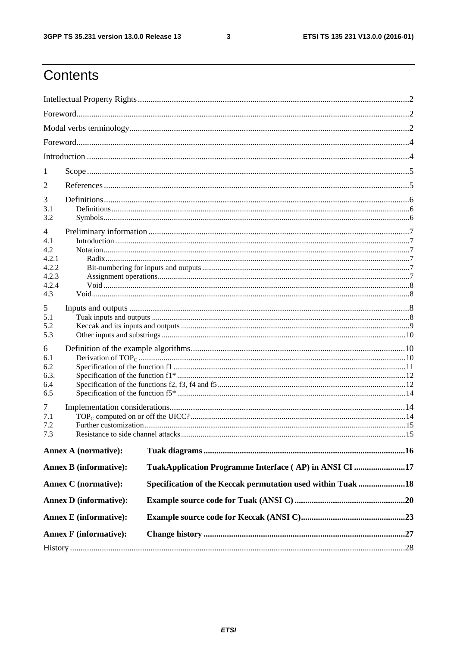$\mathbf{3}$ 

### Contents

| 1                                                          |                               |                                                             |  |
|------------------------------------------------------------|-------------------------------|-------------------------------------------------------------|--|
| 2                                                          |                               |                                                             |  |
| 3<br>3.1<br>3.2                                            |                               |                                                             |  |
| 4<br>4.1<br>4.2<br>4.2.1<br>4.2.2<br>4.2.3<br>4.2.4<br>4.3 |                               |                                                             |  |
| 5<br>5.1<br>5.2<br>5.3                                     |                               |                                                             |  |
| 6<br>6.1<br>6.2<br>6.3.<br>6.4<br>6.5                      |                               |                                                             |  |
| 7<br>7.1<br>7.2<br>7.3                                     |                               |                                                             |  |
|                                                            | <b>Annex A (normative):</b>   |                                                             |  |
|                                                            | <b>Annex B</b> (informative): | TuakApplication Programme Interface (AP) in ANSI CI 17      |  |
|                                                            | <b>Annex C</b> (normative):   | Specification of the Keccak permutation used within Tuak 18 |  |
|                                                            | <b>Annex D</b> (informative): |                                                             |  |
|                                                            | <b>Annex E</b> (informative): |                                                             |  |
|                                                            |                               |                                                             |  |
|                                                            | <b>Annex F</b> (informative): |                                                             |  |
|                                                            |                               |                                                             |  |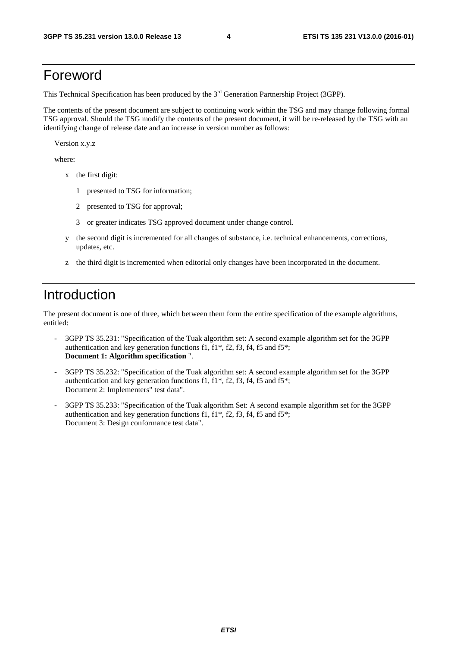### Foreword

This Technical Specification has been produced by the 3<sup>rd</sup> Generation Partnership Project (3GPP).

The contents of the present document are subject to continuing work within the TSG and may change following formal TSG approval. Should the TSG modify the contents of the present document, it will be re-released by the TSG with an identifying change of release date and an increase in version number as follows:

Version x.y.z

where:

- x the first digit:
	- 1 presented to TSG for information;
	- 2 presented to TSG for approval;
	- 3 or greater indicates TSG approved document under change control.
- y the second digit is incremented for all changes of substance, i.e. technical enhancements, corrections, updates, etc.
- z the third digit is incremented when editorial only changes have been incorporated in the document.

### Introduction

The present document is one of three, which between them form the entire specification of the example algorithms, entitled:

- 3GPP TS 35.231: "Specification of the Tuak algorithm set: A second example algorithm set for the 3GPP authentication and key generation functions f1, f1\*, f2, f3, f4, f5 and f5\*; **Document 1: Algorithm specification** ".
- 3GPP TS 35.232: "Specification of the Tuak algorithm set: A second example algorithm set for the 3GPP authentication and key generation functions f1,  $f1^*$ ,  $f2$ ,  $f3$ ,  $f4$ ,  $f5$  and  $f5^*$ ; Document 2: Implementers" test data".
- 3GPP TS 35.233: "Specification of the Tuak algorithm Set: A second example algorithm set for the 3GPP authentication and key generation functions f1,  $f1^*$ ,  $f2$ ,  $f3$ ,  $f4$ ,  $f5$  and  $f5^*$ ; Document 3: Design conformance test data".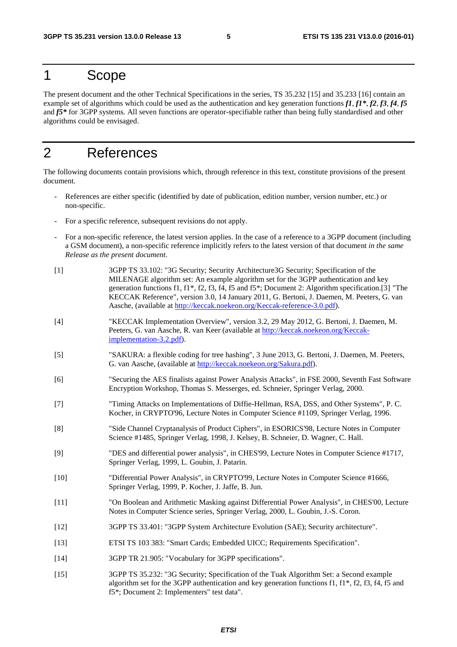### 1 Scope

The present document and the other Technical Specifications in the series, TS 35.232 [15] and 35.233 [16] contain an example set of algorithms which could be used as the authentication and key generation functions *f1*, *f1\**, *f2*, *f3*, *f4*, *f5* and *f5\** for 3GPP systems. All seven functions are operator-specifiable rather than being fully standardised and other algorithms could be envisaged.

### 2 References

The following documents contain provisions which, through reference in this text, constitute provisions of the present document.

- References are either specific (identified by date of publication, edition number, version number, etc.) or non-specific.
- For a specific reference, subsequent revisions do not apply.
- For a non-specific reference, the latest version applies. In the case of a reference to a 3GPP document (including a GSM document), a non-specific reference implicitly refers to the latest version of that document *in the same Release as the present document*.
- [1] 3GPP TS 33.102: "3G Security; Security Architecture3G Security; Specification of the MILENAGE algorithm set: An example algorithm set for the 3GPP authentication and key generation functions f1, f1\*, f2, f3, f4, f5 and f5\*; Document 2: Algorithm specification.[3] "The KECCAK Reference", version 3.0, 14 January 2011, G. Bertoni, J. Daemen, M. Peeters, G. van Aasche, (available at [http://keccak.noekeon.org/Keccak-reference-3.0.pdf\)](http://keccak.noekeon.org/Keccak-reference-3.0.pdf).
- [4] "KECCAK Implementation Overview", version 3.2, 29 May 2012, G. Bertoni, J. Daemen, M. Peeters, G. van Aasche, R. van Keer (available at [http://keccak.noekeon.org/Keccak](http://keccak.noekeon.org/Keccak-implementation-3.2.pdf)[implementation-3.2.pdf\)](http://keccak.noekeon.org/Keccak-implementation-3.2.pdf).
- [5] "SAKURA: a flexible coding for tree hashing", 3 June 2013, G. Bertoni, J. Daemen, M. Peeters, G. van Aasche, (available at [http://keccak.noekeon.org/Sakura.pdf\)](http://keccak.noekeon.org/Sakura.pdf).
- [6] "Securing the AES finalists against Power Analysis Attacks", in FSE 2000, Seventh Fast Software Encryption Workshop, Thomas S. Messerges, ed. Schneier, Springer Verlag, 2000.
- [7] "Timing Attacks on Implementations of Diffie-Hellman, RSA, DSS, and Other Systems", P. C. Kocher, in CRYPTO'96, Lecture Notes in Computer Science #1109, Springer Verlag, 1996.
- [8] "Side Channel Cryptanalysis of Product Ciphers", in ESORICS'98, Lecture Notes in Computer Science #1485, Springer Verlag, 1998, J. Kelsey, B. Schneier, D. Wagner, C. Hall.
- [9] "DES and differential power analysis", in CHES'99, Lecture Notes in Computer Science #1717, Springer Verlag, 1999, L. Goubin, J. Patarin.
- [10] "Differential Power Analysis", in CRYPTO'99, Lecture Notes in Computer Science #1666, Springer Verlag, 1999, P. Kocher, J. Jaffe, B. Jun.
- [11] "On Boolean and Arithmetic Masking against Differential Power Analysis", in CHES'00, Lecture Notes in Computer Science series, Springer Verlag, 2000, L. Goubin, J.-S. Coron.
- [12] 3GPP TS 33.401: "3GPP System Architecture Evolution (SAE); Security architecture".
- [13] ETSI TS 103 383: "Smart Cards; Embedded UICC; Requirements Specification".
- [14] 3GPP TR 21.905: "Vocabulary for 3GPP specifications".
- [15] 3GPP TS 35.232: "3G Security; Specification of the Tuak Algorithm Set: a Second example algorithm set for the 3GPP authentication and key generation functions f1, f1\*, f2, f3, f4, f5 and f5\*; Document 2: Implementers" test data".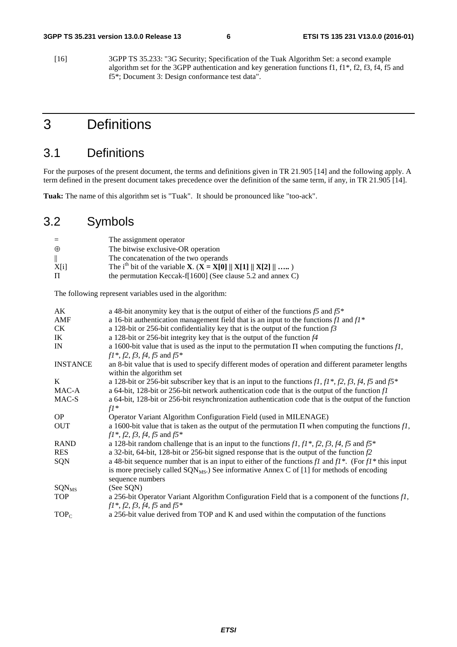[16] 3GPP TS 35.233: "3G Security; Specification of the Tuak Algorithm Set: a second example algorithm set for the 3GPP authentication and key generation functions f1, f1\*, f2, f3, f4, f5 and f5\*; Document 3: Design conformance test data".

### 3 Definitions

### 3.1 Definitions

For the purposes of the present document, the terms and definitions given in TR 21.905 [14] and the following apply. A term defined in the present document takes precedence over the definition of the same term, if any, in TR 21.905 [14].

**Tuak:** The name of this algorithm set is "Tuak". It should be pronounced like "too-ack".

### 3.2 Symbols

| $=$          | The assignment operator                                                                                                 |
|--------------|-------------------------------------------------------------------------------------------------------------------------|
| $\oplus$     | The bitwise exclusive-OR operation                                                                                      |
| $\mathbb{I}$ | The concatenation of the two operands                                                                                   |
| X[i]         | The i <sup>th</sup> bit of the variable <b>X</b> . ( <b>X</b> = <b>X</b> [0] $  $ <b>X</b> [1] $  $ <b>X</b> [2] $  $ ) |
| Л            | the permutation Keccak-f[1600] (See clause 5.2 and annex C)                                                             |
|              |                                                                                                                         |

The following represent variables used in the algorithm:

| AK                       | a 48-bit anonymity key that is the output of either of the functions $f5$ and $f5^*$                                                      |
|--------------------------|-------------------------------------------------------------------------------------------------------------------------------------------|
| AMF                      | a 16-bit authentication management field that is an input to the functions $f1$ and $f1^*$                                                |
| <b>CK</b>                | a 128-bit or 256-bit confidentiality key that is the output of the function $f3$                                                          |
| IK                       | a 128-bit or 256-bit integrity key that is the output of the function $f4$                                                                |
| IN                       | a 1600-bit value that is used as the input to the permutation $\Pi$ when computing the functions fl,<br>$f1^*, f2, f3, f4, f5$ and $f5^*$ |
| <b>INSTANCE</b>          | an 8-bit value that is used to specify different modes of operation and different parameter lengths<br>within the algorithm set           |
| K                        | a 128-bit or 256-bit subscriber key that is an input to the functions $f1, f1^*, f2, f3, f4, f5$ and $f5^*$                               |
| MAC-A                    | a 64-bit, 128-bit or 256-bit network authentication code that is the output of the function $fI$                                          |
| MAC-S                    | a 64-bit, 128-bit or 256-bit resynchronization authentication code that is the output of the function<br>$fl*$                            |
| <b>OP</b>                | Operator Variant Algorithm Configuration Field (used in MILENAGE)                                                                         |
| <b>OUT</b>               | a 1600-bit value that is taken as the output of the permutation $\Pi$ when computing the functions fl,                                    |
|                          | $f1^*, f2, f3, f4, f5$ and $f5^*$                                                                                                         |
| <b>RAND</b>              | a 128-bit random challenge that is an input to the functions $f1, f1^*, f2, f3, f4, f5$ and $f5^*$                                        |
| <b>RES</b>               | a 32-bit, 64-bit, 128-bit or 256-bit signed response that is the output of the function $f2$                                              |
| SQN                      | a 48-bit sequence number that is an input to either of the functions fl and $f1^*$ . (For $f1^*$ this input                               |
|                          | is more precisely called $SQN_{MS}$ .) See informative Annex C of [1] for methods of encoding<br>sequence numbers                         |
| <b>SQN</b> <sub>MS</sub> | (See SQN)                                                                                                                                 |
| <b>TOP</b>               | a 256-bit Operator Variant Algorithm Configuration Field that is a component of the functions $fI$ ,<br>$f1^*, f2, f3, f4, f5$ and $f5^*$ |
| $TOP_C$                  | a 256-bit value derived from TOP and K and used within the computation of the functions                                                   |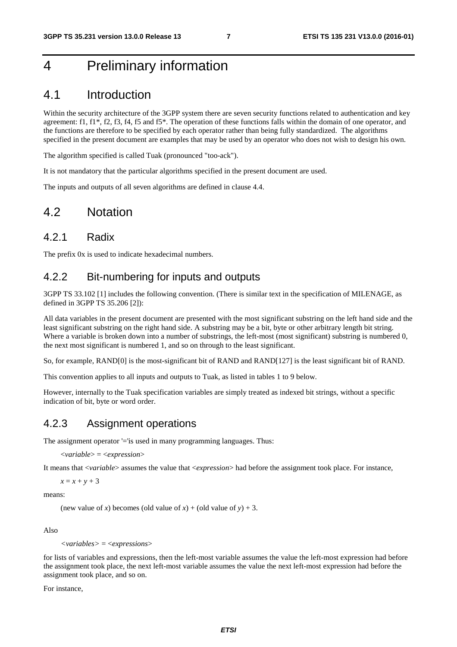### 4 Preliminary information

### 4.1 Introduction

Within the security architecture of the 3GPP system there are seven security functions related to authentication and key agreement: f1, f1\*, f2, f3, f4, f5 and f5\*. The operation of these functions falls within the domain of one operator, and the functions are therefore to be specified by each operator rather than being fully standardized. The algorithms specified in the present document are examples that may be used by an operator who does not wish to design his own.

The algorithm specified is called Tuak (pronounced "too-ack").

It is not mandatory that the particular algorithms specified in the present document are used.

The inputs and outputs of all seven algorithms are defined in clause 4.4.

### 4.2 Notation

### 4.2.1 Radix

The prefix 0x is used to indicate hexadecimal numbers.

### 4.2.2 Bit-numbering for inputs and outputs

3GPP TS 33.102 [1] includes the following convention. (There is similar text in the specification of MILENAGE, as defined in 3GPP TS 35.206 [2]):

All data variables in the present document are presented with the most significant substring on the left hand side and the least significant substring on the right hand side. A substring may be a bit, byte or other arbitrary length bit string. Where a variable is broken down into a number of substrings, the left-most (most significant) substring is numbered 0, the next most significant is numbered 1, and so on through to the least significant.

So, for example, RAND[0] is the most-significant bit of RAND and RAND[127] is the least significant bit of RAND.

This convention applies to all inputs and outputs to Tuak, as listed in tables 1 to 9 below.

However, internally to the Tuak specification variables are simply treated as indexed bit strings, without a specific indication of bit, byte or word order.

### 4.2.3 Assignment operations

The assignment operator '='is used in many programming languages. Thus:

<*variable*> = <*expression*>

It means that <*variable*> assumes the value that <*expression*> had before the assignment took place. For instance,

 $x = x + y + 3$ 

means:

(new value of *x*) becomes (old value of *x*) + (old value of *y*) + 3.

Also

*<variables>* = <*expressions*>

for lists of variables and expressions, then the left-most variable assumes the value the left-most expression had before the assignment took place, the next left-most variable assumes the value the next left-most expression had before the assignment took place, and so on.

For instance,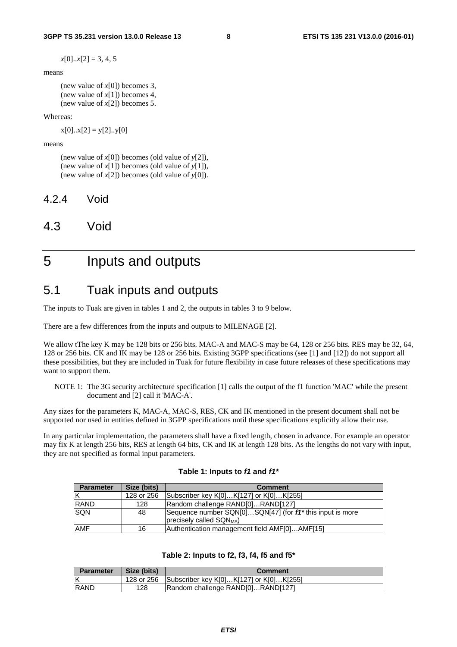$x[0]...x[2] = 3, 4, 5$ 

means

(new value of *x*[0]) becomes 3, (new value of *x*[1]) becomes 4, (new value of *x*[2]) becomes 5.

Whereas:

 $x[0]...x[2] = y[2]...y[0]$ 

means

(new value of *x*[0]) becomes (old value of *y*[2]), (new value of *x*[1]) becomes (old value of *y*[1]), (new value of *x*[2]) becomes (old value of *y*[0]).

4.2.4 Void

### 4.3 Void

### 5 Inputs and outputs

### 5.1 Tuak inputs and outputs

The inputs to Tuak are given in tables 1 and 2, the outputs in tables 3 to 9 below.

There are a few differences from the inputs and outputs to MILENAGE [2].

We allow tThe key K may be 128 bits or 256 bits. MAC-A and MAC-S may be 64, 128 or 256 bits. RES may be 32, 64, 128 or 256 bits. CK and IK may be 128 or 256 bits. Existing 3GPP specifications (see [1] and [12]) do not support all these possibilities, but they are included in Tuak for future flexibility in case future releases of these specifications may want to support them.

NOTE 1: The 3G security architecture specification [1] calls the output of the f1 function 'MAC' while the present document and [2] call it 'MAC-A'.

Any sizes for the parameters K, MAC-A, MAC-S, RES, CK and IK mentioned in the present document shall not be supported nor used in entities defined in 3GPP specifications until these specifications explicitly allow their use.

In any particular implementation, the parameters shall have a fixed length, chosen in advance. For example an operator may fix K at length 256 bits, RES at length 64 bits, CK and IK at length 128 bits. As the lengths do not vary with input, they are not specified as formal input parameters.

| <b>Parameter</b> | Size (bits) | <b>Comment</b>                                                                                                |  |
|------------------|-------------|---------------------------------------------------------------------------------------------------------------|--|
| ΙK               | 128 or 256  | Subscriber key K[0]K[127] or K[0]K[255]                                                                       |  |
| <b>RAND</b>      | 128         | Random challenge RAND[0]RAND[127]                                                                             |  |
| <b>SQN</b>       | 48          | Sequence number SQN[0]SQN[47] (for f1 <sup>*</sup> this input is more<br>precisely called SQN <sub>MS</sub> ) |  |
| <b>AMF</b>       | 16          | Authentication management field AMF[0]AMF[15]                                                                 |  |

#### **Table 1: Inputs to** *f1* **and** *f1\**

#### **Table 2: Inputs to f2, f3, f4, f5 and f5\***

| <b>Parameter</b> | Size (bits) | <b>Comment</b>                          |
|------------------|-------------|-----------------------------------------|
| $\mathsf{K}$     | 128 or 256  | Subscriber key K[0]K[127] or K[0]K[255] |
| <b>IRAND</b>     | 128         | Random challenge RAND[0]RAND[127]       |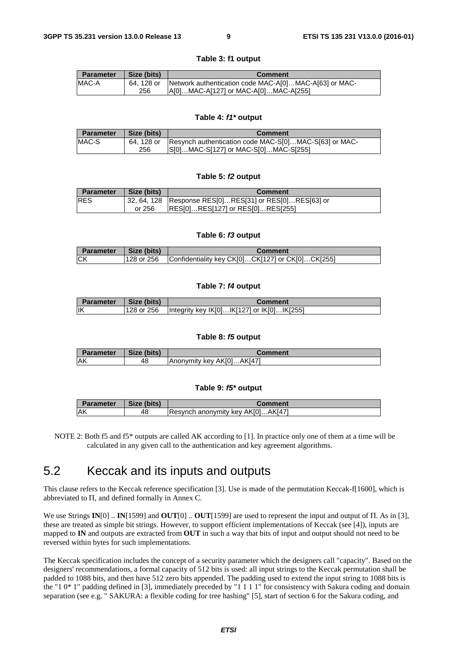| <b>Parameter</b> | Size (bits) | <b>Comment</b>                                        |  |  |
|------------------|-------------|-------------------------------------------------------|--|--|
| MAC-A            | 64. 128 or  | Network authentication code MAC-A[0]MAC-A[63] or MAC- |  |  |
|                  | 256         | A[0]MAC-A[127] or MAC-A[0]MAC-A[255]                  |  |  |

**Table 3: f1 output** 

#### **Table 4:** *f1\** **output**

| Size (bits)<br><b>Parameter</b> |            | <b>Comment</b>                                        |  |
|---------------------------------|------------|-------------------------------------------------------|--|
| <b>IMAC-S</b>                   | 64. 128 or | Resynch authentication code MAC-S[0]MAC-S[63] or MAC- |  |
|                                 | 256        | S[0]MAC-S[127] or MAC-S[0]MAC-S[255]                  |  |

#### **Table 5:** *f2* **output**

| Size (bits)<br><b>Parameter</b>                                       |        | <b>Comment</b>                   |  |
|-----------------------------------------------------------------------|--------|----------------------------------|--|
| <b>IRES</b><br>32, 64, 128 Response RES[0]RES[31] or RES[0]RES[63] or |        |                                  |  |
|                                                                       | or 256 | RES[0]RES[127] or RES[0]RES[255] |  |

#### **Table 6:** *f3* **output**

| <b>Parameter</b> | Size (bits) | Comment                                          |
|------------------|-------------|--------------------------------------------------|
| <b>ICK</b>       | 128 or 256  | Confidentiality key CK[0]CK[127] or CK[0]CK[255] |

#### **Table 7:** *f4* **output**

| <b>Parameter</b> | Size (bits) | Comment                                    |
|------------------|-------------|--------------------------------------------|
| <b>IIK</b>       | 128 or 256  | Integrity key IKI01IKI1271 or IKI01IKI2551 |

#### **Table 8:** *f5* **output**

| Parameter  | Size (bits) | ∶omment                        |
|------------|-------------|--------------------------------|
| <b>IAK</b> | 48          | .AKI47<br>IAnonymity key AK[0] |

#### **Table 9:** *f5\** **output**

| <b>Parameter</b> | Size (bits) | ;omment                                                   |  |
|------------------|-------------|-----------------------------------------------------------|--|
| <b>IAK</b>       | 48          | .AK <sub>I</sub> 47<br><b>Resynch anonymity key AK[0]</b> |  |

NOTE 2: Both f5 and f5<sup>\*</sup> outputs are called AK according to [1]. In practice only one of them at a time will be calculated in any given call to the authentication and key agreement algorithms.

### 5.2 Keccak and its inputs and outputs

This clause refers to the Keccak reference specification [3]. Use is made of the permutation Keccak-f[1600], which is abbreviated to Π, and defined formally in Annex C.

We use Strings **IN**[0] .. **IN**[1599] and **OUT**[0] .. **OUT**[1599] are used to represent the input and output of Π. As in [3], these are treated as simple bit strings. However, to support efficient implementations of Keccak (see [4]), inputs are mapped to **IN** and outputs are extracted from **OUT** in such a way that bits of input and output should not need to be reversed within bytes for such implementations.

The Keccak specification includes the concept of a security parameter which the designers call "capacity". Based on the designers' recommendations, a formal capacity of 512 bits is used: all input strings to the Keccak permutation shall be padded to 1088 bits, and then have 512 zero bits appended. The padding used to extend the input string to 1088 bits is the "1 0\* 1" padding defined in [3], immediately preceded by "1 1 1 1" for consistency with Sakura coding and domain separation (see e.g. " SAKURA: a flexible coding for tree hashing" [5], start of section 6 for the Sakura coding, and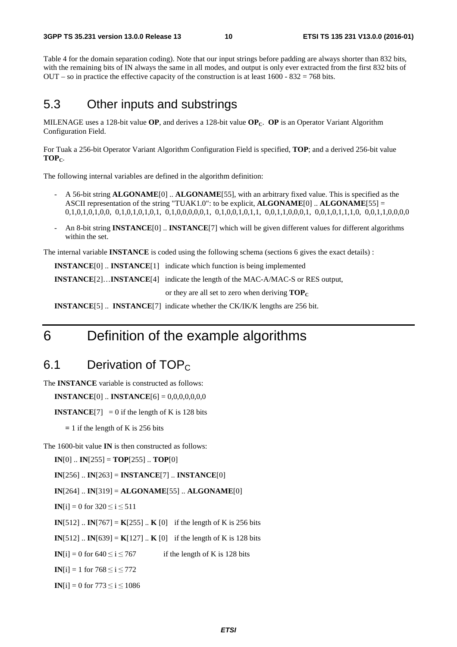Table 4 for the domain separation coding). Note that our input strings before padding are always shorter than 832 bits, with the remaining bits of IN always the same in all modes, and output is only ever extracted from the first 832 bits of OUT – so in practice the effective capacity of the construction is at least  $1600 - 832 = 768$  bits.

### 5.3 Other inputs and substrings

MILENAGE uses a 128-bit value **OP**, and derives a 128-bit value **OP**<sub>C</sub>. **OP** is an Operator Variant Algorithm Configuration Field.

For Tuak a 256-bit Operator Variant Algorithm Configuration Field is specified, **TOP**; and a derived 256-bit value TOP<sub>C</sub>.

The following internal variables are defined in the algorithm definition:

- A 56-bit string **ALGONAME**[0] .. **ALGONAME**[55], with an arbitrary fixed value. This is specified as the ASCII representation of the string "TUAK1.0": to be explicit, **ALGONAME**[0] .. **ALGONAME**[55] = 0,1,0,1,0,1,0,0, 0,1,0,1,0,1,0,1, 0,1,0,0,0,0,0,1, 0,1,0,0,1,0,1,1, 0,0,1,1,0,0,0,1, 0,0,1,0,1,1,1,0, 0,0,1,1,0,0,0,0
- An 8-bit string **INSTANCE**[0] .. **INSTANCE**[7] which will be given different values for different algorithms within the set.

The internal variable **INSTANCE** is coded using the following schema (sections 6 gives the exact details) :

 **INSTANCE**[0] .. **INSTANCE**[1] indicate which function is being implemented

**INSTANCE**[2]…**INSTANCE**[4] indicate the length of the MAC-A/MAC-S or RES output,

or they are all set to zero when deriving  $\text{TOP}_C$ 

**INSTANCE**[5] .. **INSTANCE**[7] indicate whether the CK/IK/K lengths are 256 bit.

### 6 Definition of the example algorithms

### 6.1 Derivation of  $TOP<sub>c</sub>$

The **INSTANCE** variable is constructed as follows:

**INSTANCE**[0] .. **INSTANCE**[6] = 0,0,0,0,0,0,0

**INSTANCE**[7] = 0 if the length of K is 128 bits

 **=** 1 if the length of K is 256 bits

The 1600-bit value **IN** is then constructed as follows:

**IN**[0]  $\therefore$  **IN**[255] = **TOP**[255]  $\therefore$  **TOP**[0]

**IN**[256] .. **IN**[263] = **INSTANCE**[7] .. **INSTANCE**[0]

**IN**[264] .. **IN**[319] = **ALGONAME**[55] .. **ALGONAME**[0]

**IN**[i] = 0 for  $320 \le i \le 511$ 

**IN**[512]  $\therefore$  **IN**[767] = **K**[255]  $\therefore$  **K** [0] if the length of K is 256 bits

**IN**[512]  $\therefore$  **IN**[639] = **K**[127]  $\therefore$  **K** [0] if the length of K is 128 bits

**IN**[i] = 0 for  $640 \le i \le 767$  if the length of K is 128 bits

**IN**[i] = 1 for  $768 \le i \le 772$ 

**IN**[i] = 0 for 773  $\leq$  i  $\leq$  1086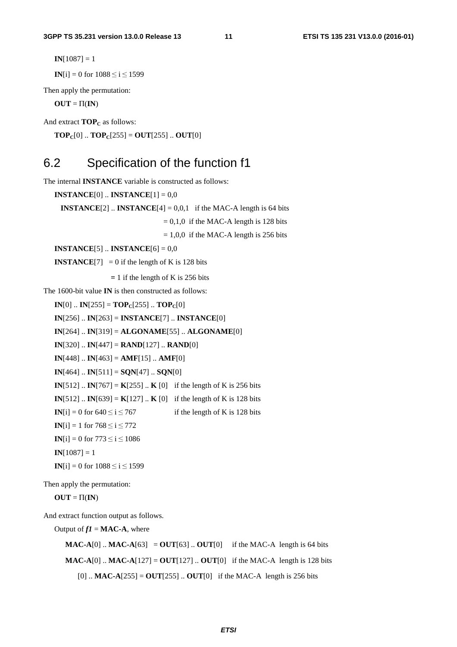$IN[1087] = 1$ 

**IN**[i] = 0 for  $1088 \le i \le 1599$ 

Then apply the permutation:

 $OUT = \Pi(IN)$ 

And extract **TOP**<sub>C</sub> as follows:

 **..**  $**TOP**<sub>C</sub>[255] = **OUT**[255]$  **..**  $**OUT**[0]$ 

### 6.2 Specification of the function f1

The internal **INSTANCE** variable is constructed as follows:

**INSTANCE**[0] .. **INSTANCE**[1] = 0,0 **INSTANCE**[2]  $\ldots$  **INSTANCE**[4] = 0,0,1 if the MAC-A length is 64 bits  $= 0,1,0$  if the MAC-A length is 128 bits  $= 1,0,0$  if the MAC-A length is 256 bits **INSTANCE**[5] .. **INSTANCE**[6] = 0,0 **INSTANCE**[7] = 0 if the length of K is 128 bits  **=** 1 if the length of K is 256 bits The 1600-bit value **IN** is then constructed as follows:  $IN[0]$  ..  $IN[255] = TOP_C[255]$  ..  $TOP_C[0]$ **IN**[256] .. **IN**[263] = **INSTANCE**[7] .. **INSTANCE**[0] **IN**[264] .. **IN**[319] = **ALGONAME**[55] .. **ALGONAME**[0] **IN**[320]  $\therefore$  **IN**[447] = **RAND**[127]  $\therefore$  **RAND**[0] **IN**[448] .. **IN**[463] = **AMF**[15] .. **AMF**[0] **IN**[464]  $\ldots$  **IN**[511] = **SQN**[47]  $\ldots$  **SQN**[0] **IN**[512]  $\therefore$  **IN**[767] = **K**[255]  $\therefore$  **K** [0] if the length of K is 256 bits **IN**[512]  $\therefore$  **IN**[639] = **K**[127]  $\therefore$  **K** [0] if the length of K is 128 bits **IN**[i] = 0 for  $640 \le i \le 767$  if the length of K is 128 bits **IN**[i] = 1 for  $768 \le i \le 772$ **IN**[i] = 0 for 773  $\le i \le 1086$  $IN[1087] = 1$ **IN**[i] = 0 for  $1088 \le i \le 1599$ 

Then apply the permutation:

 $OUT = \Pi(IN)$ 

And extract function output as follows.

Output of  $fI = MAC-A$ , where

**MAC-A**[0]  $\ldots$  **MAC-A**[63] = **OUT**[63]  $\ldots$  **OUT**[0] if the MAC-A length is 64 bits **MAC-A**[0]  $\ldots$  **MAC-A**[127] = **OUT**[127]  $\ldots$  **OUT**[0] if the MAC-A length is 128 bits [0] .. **MAC-A**[255] = **OUT**[255] .. **OUT**[0] if the MAC-A length is 256 bits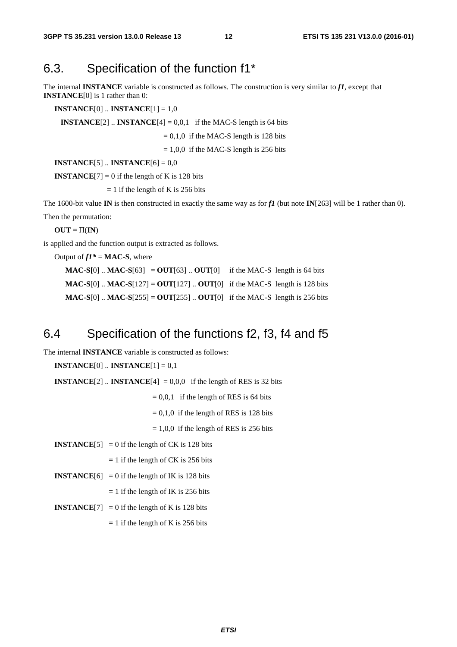### 6.3. Specification of the function f1\*

The internal **INSTANCE** variable is constructed as follows. The construction is very similar to *f1*, except that **INSTANCE**[0] is 1 rather than 0:

**INSTANCE**[0] .. **INSTANCE**[1] = 1,0

**INSTANCE**[2]  $\ldots$  **INSTANCE**[4] = 0,0,1 if the MAC-S length is 64 bits

 $= 0.1,0$  if the MAC-S length is 128 bits

 $= 1,0,0$  if the MAC-S length is 256 bits

**INSTANCE**[5] .. **INSTANCE**[6] = 0,0

**INSTANCE**[7] = 0 if the length of K is 128 bits

 **=** 1 if the length of K is 256 bits

The 1600-bit value **IN** is then constructed in exactly the same way as for  $f1$  (but note **IN**[263] will be 1 rather than 0). Then the permutation:

 $OUT = \Pi(IN)$ 

is applied and the function output is extracted as follows.

Output of  $f1^* = MAC-S$ , where

**MAC-S[0]**  $\therefore$  **MAC-S**[63] = **OUT**[63]  $\therefore$  **OUT**[0] if the MAC-S length is 64 bits **MAC-S**[0] .. **MAC-S**[127] = **OUT**[127] .. **OUT**[0] if the MAC-S length is 128 bits **MAC-S**[0] .. **MAC-S**[255] = **OUT**[255] .. **OUT**[0] if the MAC-S length is 256 bits

### 6.4 Specification of the functions f2, f3, f4 and f5

The internal **INSTANCE** variable is constructed as follows:

**INSTANCE**[0]  $\ldots$  **INSTANCE**[1] = 0,1

**INSTANCE**[2]  $\therefore$  **INSTANCE**[4] = 0,0,0 if the length of RES is 32 bits

 $= 0.0,1$  if the length of RES is 64 bits

 $= 0,1,0$  if the length of RES is 128 bits

 $= 1,0,0$  if the length of RES is 256 bits

**INSTANCE**[5] = 0 if the length of CK is 128 bits

 **=** 1 if the length of CK is 256 bits

**INSTANCE**[6] = 0 if the length of IK is 128 bits

 **=** 1 if the length of IK is 256 bits

**INSTANCE**[7] = 0 if the length of K is 128 bits

 **=** 1 if the length of K is 256 bits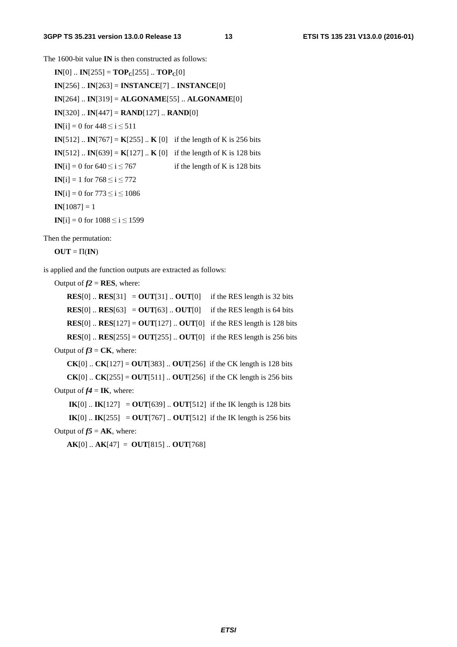The 1600-bit value **IN** is then constructed as follows:

 $IN[0]$  ..  $IN[255] = TOP_C[255]$  ..  $TOP_C[0]$ **IN**[256] .. **IN**[263] = **INSTANCE**[7] .. **INSTANCE**[0] **IN**[264] .. **IN**[319] = **ALGONAME**[55] .. **ALGONAME**[0] **IN**[320]  $\therefore$  **IN**[447] = **RAND**[127]  $\therefore$  **RAND**[0] **IN**[i] = 0 for  $448 \le i \le 511$ **IN**[512]  $\therefore$  **IN**[767] = **K**[255]  $\therefore$  **K** [0] if the length of K is 256 bits **IN**[512]  $\therefore$  **IN**[639] = **K**[127]  $\therefore$  **K** [0] if the length of K is 128 bits **IN**[i] = 0 for  $640 \le i \le 767$  if the length of K is 128 bits **IN**[i] = 1 for  $768 \le i \le 772$ **IN**[i] = 0 for 773  $\leq i \leq 1086$  $IN[1087] = 1$ **IN**[i] = 0 for  $1088 \le i \le 1599$ 

Then the permutation:

 $OUT = \Pi(\mathbf{IN})$ 

is applied and the function outputs are extracted as follows:

Output of  $f2 = RES$ , where:

**RES**[0]  $\therefore$  **RES**[31] = **OUT**[31]  $\therefore$  **OUT**[0] if the RES length is 32 bits **RES**[0]  $\therefore$  **RES**[63] = **OUT**[63]  $\therefore$  **OUT**[0] if the RES length is 64 bits **RES**[0]  $\therefore$  **RES**[127] = **OUT**[127]  $\therefore$  **OUT**[0] if the RES length is 128 bits **RES**[0]  $\therefore$  **RES**[255] = **OUT**[255]  $\therefore$  **OUT**[0] if the RES length is 256 bits Output of  $f3 = CK$ , where: **CK**[0] .. **CK**[127] = **OUT**[383] .. **OUT**[256] if the CK length is 128 bits **CK**[0] .. **CK**[255] = **OUT**[511] .. **OUT**[256] if the CK length is 256 bits

Output of  $f4 = \textbf{IK}$ , where:

**IK**[0] .. **IK**[127] = **OUT**[639] .. **OUT**[512] if the IK length is 128 bits

**IK**[0] .. **IK**[255] = **OUT**[767] .. **OUT**[512] if the IK length is 256 bits

Output of  $f5 = AK$ , where:

 $AK[0]$ ...  $AK[47] = OUT[815]$ ...  $OUT[768]$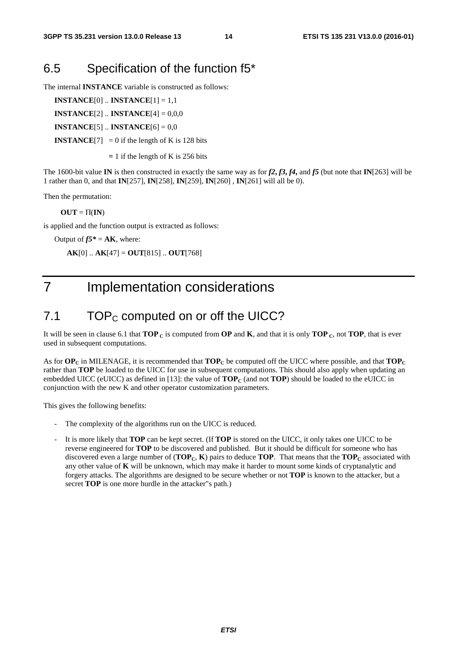### 6.5 Specification of the function f5\*

The internal **INSTANCE** variable is constructed as follows:

**INSTANCE**[0] .. **INSTANCE**[1] = 1,1

**INSTANCE**[2] .. **INSTANCE**[4] = 0,0,0

**INSTANCE**[5] .. **INSTANCE**[6] = 0,0

**INSTANCE**[7] = 0 if the length of K is 128 bits

 **=** 1 if the length of K is 256 bits

The 1600-bit value **IN** is then constructed in exactly the same way as for  $f2$ ,  $f3$ ,  $f4$ , and  $f5$  (but note that **IN**[263] will be 1 rather than 0, and that **IN**[257], **IN**[258], **IN**[259], **IN**[260] , **IN**[261] will all be 0).

Then the permutation:

 $OUT = \Pi(IN)$ 

is applied and the function output is extracted as follows:

Output of  $f5^* = AK$ , where:

**AK**[0] .. **AK**[47] = **OUT**[815] .. **OUT**[768]

### 7 Implementation considerations

### 7.1  $\Box$  TOP<sub>C</sub> computed on or off the UICC?

It will be seen in clause 6.1 that  $\mathbf{TOP}_{\mathbf{C}}$  is computed from  $\mathbf{OP}$  and  $\mathbf{K}$ , and that it is only  $\mathbf{TOP}_{\mathbf{C}}$ , not  $\mathbf{TOP}_{\mathbf{C}}$ , that is ever used in subsequent computations.

As for  $\mathbf{OP_C}$  in MILENAGE, it is recommended that  $\mathbf{TOP_C}$  be computed off the UICC where possible, and that  $\mathbf{TOP_C}$ rather than **TOP** be loaded to the UICC for use in subsequent computations. This should also apply when updating an embedded UICC (eUICC) as defined in [13]: the value of  $\text{TOP}_C$  (and not  $\text{TOP}$ ) should be loaded to the eUICC in conjunction with the new K and other operator customization parameters.

This gives the following benefits:

- The complexity of the algorithms run on the UICC is reduced.
- It is more likely that **TOP** can be kept secret. (If **TOP** is stored on the UICC, it only takes one UICC to be reverse engineered for **TOP** to be discovered and published. But it should be difficult for someone who has discovered even a large number of  $(TOP<sub>C</sub>, K)$  pairs to deduce **TOP**. That means that the **TOP**<sub>C</sub> associated with any other value of **K** will be unknown, which may make it harder to mount some kinds of cryptanalytic and forgery attacks. The algorithms are designed to be secure whether or not **TOP** is known to the attacker, but a secret **TOP** is one more hurdle in the attacker"s path.)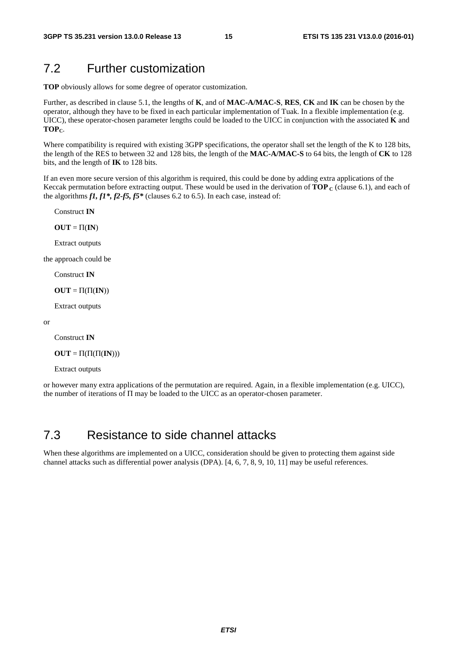### 7.2 Further customization

**TOP** obviously allows for some degree of operator customization.

Further, as described in clause 5.1, the lengths of **K**, and of **MAC-A/MAC-S**, **RES**, **CK** and **IK** can be chosen by the operator, although they have to be fixed in each particular implementation of Tuak. In a flexible implementation (e.g. UICC), these operator-chosen parameter lengths could be loaded to the UICC in conjunction with the associated **K** and TOP<sub>C</sub>.

Where compatibility is required with existing 3GPP specifications, the operator shall set the length of the K to 128 bits, the length of the RES to between 32 and 128 bits, the length of the **MAC-A/MAC-S** to 64 bits, the length of **CK** to 128 bits, and the length of **IK** to 128 bits.

If an even more secure version of this algorithm is required, this could be done by adding extra applications of the Keccak permutation before extracting output. These would be used in the derivation of **TOP**  $\mathbf{c}$  (clause 6.1), and each of the algorithms *f1, f1\*, f2-f5, f5\** (clauses 6.2 to 6.5). In each case, instead of:

Construct **IN** 

 $OUT = \Pi$ **(IN)** 

Extract outputs

the approach could be

Construct **IN** 

 $OUT = \Pi(\Pi(\mathbf{IN}))$ 

Extract outputs

```
or
```
Construct **IN** 

 $OUT = \Pi(\Pi(\Pi(\mathbf{IN})))$ 

Extract outputs

or however many extra applications of the permutation are required. Again, in a flexible implementation (e.g. UICC), the number of iterations of Π may be loaded to the UICC as an operator-chosen parameter.

### 7.3 Resistance to side channel attacks

When these algorithms are implemented on a UICC, consideration should be given to protecting them against side channel attacks such as differential power analysis (DPA). [4, 6, 7, 8, 9, 10, 11] may be useful references.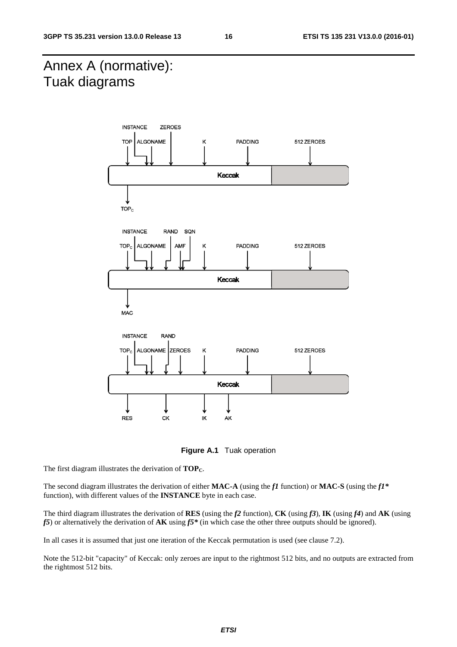### Annex A (normative): Tuak diagrams



**Figure A.1** Tuak operation

The first diagram illustrates the derivation of **TOP**<sub>C</sub>.

The second diagram illustrates the derivation of either **MAC-A** (using the *f1* function) or **MAC-S** (using the *f1\** function), with different values of the **INSTANCE** byte in each case.

The third diagram illustrates the derivation of **RES** (using the *f2* function), **CK** (using *f3*), **IK** (using *f4*) and **AK** (using *f5*) or alternatively the derivation of **AK** using *f5\** (in which case the other three outputs should be ignored).

In all cases it is assumed that just one iteration of the Keccak permutation is used (see clause 7.2).

Note the 512-bit "capacity" of Keccak: only zeroes are input to the rightmost 512 bits, and no outputs are extracted from the rightmost 512 bits.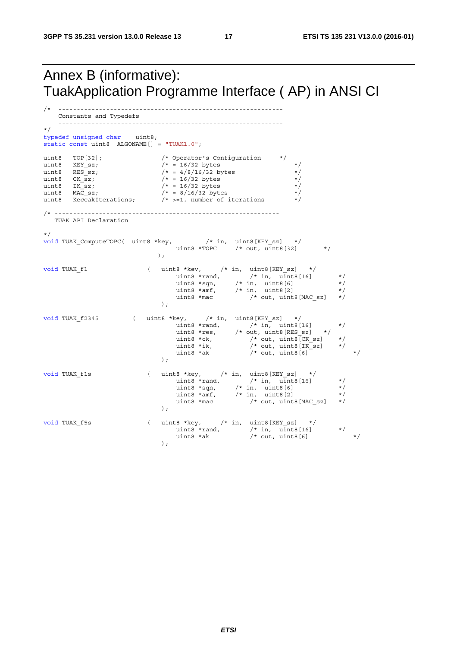### Annex B (informative): TuakApplication Programme Interface ( AP) in ANSI CI

```
/* ------------------------------------------------------------- 
    Constants and Typedefs 
    ------------------------------------------------------------- 
*/ 
typedef unsigned char uint8; 
static const uint8 ALGONAME[] = "TUAK1.0";
uint8 TOP[32]; /* Operator's Configuration */<br>uint8 KEY_sz; /* = 16/32 bytes<br>uint8 RES_sz; /* = 4/8/16/32 bytes<br>uint8 CK_sz; /* = 16/32 bytes<br>uint8 MAC_sz; /* = 16/32 bytes<br>uint8 MAC_sz; /* = 8/16/32 bytes<br>wint9 MAC_sz; /
uint8 KEY sz; /* = 16/32 bytes */
uint8 RES sz; \frac{1}{2} /* = 4/8/16/32 bytes */
uint8 CK sz; /* = 16/32 bytes */
uint8 IK sz; /* = 16/32 bytes */
uint8 MAC sz; /* = 8/16/32 bytes */
uint8 \frac{1}{10} KeccakIterations; \frac{1}{10} \frac{1}{2}, number of iterations
/* ------------------------------------------------------------- 
   TUAK API Declaration 
   ------------------------------------------------------------- 
*/ 
void TUAK ComputeTOPC( uint8 *key, \frac{1}{2} /* in, uint8[KEY sz] */
\text{uint8 *TOPC} /* out, \text{uint8}[32] */
); \overline{\phantom{a}}void TUAK_f1 ( uint8 *key, /* in, uint8[KEY_sz] */
uint8 *rand, \frac{1}{16} /* in, uint8 [16] \frac{1}{16}uint8 *sqn, /* in, uint8[6] */uint8 *amf, /* in, uint8[2] *uint8 *mac /* out, uint8 [MAC sz] */);
void TUAK_f2345 ( uint8 *key, /* in, uint8[KEY_sz] */ 
uint8 *rand, \frac{1}{16} /* in, uint8 [16] \frac{1}{16}uint8 *res, \qquad /* out, uint8 [RES sz] \qquad */
uint8 \starck, \qquad /* out, uint8 [CK sz] \qquad \star/
uint8 *ik, \frac{1}{2} /* out, uint8 [IK sz] */
uint8 *ak /* out, uint8[6] *);
void TUAK_f1s ( uint8 *key,  /* in, uint8[KEY_sz] */
\text{uint8 } * \text{rand}, \qquad \qquad \frac{1}{100} \times \text{init8} = \frac{1}{100} \times \frac{1}{100}uint8 *sqn, /* in, uint8[6] */uint8 *amf, /* in, uint8[2] *uint8 *mac /* out, uint8 [MAC sz] */
);
void TUAK_f5s ( uint8 *key, /* in, uint8[KEY_sz] */ 
uint8 *rand, \frac{1}{16} /* in, uint8 [16] \frac{1}{16}uint8 *ak /* out, uint8[6] *);
```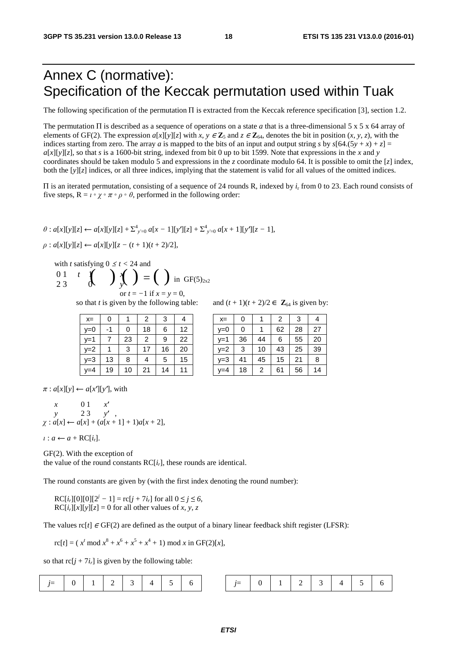### Annex C (normative): Specification of the Keccak permutation used within Tuak

The following specification of the permutation П is extracted from the Keccak reference specification [3], section 1.2.

The permutation П is described as a sequence of operations on a state *a* that is a three-dimensional 5 x 5 x 64 array of elements of GF(2). The expression  $a[x][y][z]$  with  $x, y \in \mathbb{Z}_5$  and  $z \in \mathbb{Z}_{64}$ , denotes the bit in position  $(x, y, z)$ , with the indices starting from zero. The array *a* is mapped to the bits of an input and output string *s* by  $s[64.(5y + x) + z] =$  $a[x][y][z]$ , so that *s* is a 1600-bit string, indexed from bit 0 up to bit 1599. Note that expressions in the *x* and *y* coordinates should be taken modulo 5 and expressions in the *z* coordinate modulo 64. It is possible to omit the [*z*] index, both the [*y*][*z*] indices, or all three indices, implying that the statement is valid for all values of the omitted indices.

<sup>П</sup> is an iterated permutation, consisting of a sequence of 24 rounds R, indexed by *i*r from 0 to 23. Each round consists of five steps,  $R = \iota \circ \chi \circ \pi \circ \rho \circ \theta$ , performed in the following order:

 $\theta$ : *a*[*x*][*y*][*z*] ← *a*[*x*][*y*][*z*] +  $\Sigma^{4}$ <sub>*y*</sub><sup> $\leq$ </sup>0 *a*[*x* + 1][*y*<sup> $f$ </sup>][*z* - 1],<br> $\theta$ : *a*[*x*<sup>1</sup>Iy<sup>1</sup>][*z*]  $\leq$  *a*[*x*<sup>1</sup>Iy<sup>1</sup>][*z*</sup> (*t* + 1)(*t* + 2)(2)]

 $\rho$  :  $a[x][y][z] \leftarrow a[x][y][z - (t+1)(t+2)/2],$ 

with *t* satisfying  $0 \le t < 24$  and

$$
\begin{array}{ccc}\n0 & 1 & t & \text{if} \\
2 & 3 & 0\n\end{array}\n\bigg\{\n\bigg\}\n\bigg\{\n\bigg\}\n=\n\bigg(\n\bigg)\n\text{ in GF(5)}_{2x2}\n\text{ or } t = -1 \text{ if } x = y = 0.
$$

so that *t* is given by the following table: and  $(t + 1)(t + 2)/2 \in \mathbb{Z}_{64}$  is given by:

| $x=$  | 0  |    | 2  |    |    | $x=$    | 0  |    | 2  | 3  | $\overline{4}$ |
|-------|----|----|----|----|----|---------|----|----|----|----|----------------|
| $v=0$ | -1 | 0  | 18 | 6  | 12 | $v=0$   |    |    | 62 | 28 | 27             |
| $v=1$ |    | 23 | 2  | 9  | 22 | v=1     | 36 | 44 | 6  | 55 | 20             |
| $y=2$ |    | 3  |    | 16 | 20 | $v=2$   | 3  | 10 | 43 | 25 | 39             |
| $y=3$ | 13 | 8  | 4  | 5  | 15 | v=3     | 41 | 45 | 15 | 21 | 8              |
| $y=4$ | 19 | 10 | 21 | 14 | 11 | $v = 4$ | 18 | 2  | 61 | 56 | 14             |

| $x=$ | 0  |    |    | 3  | 4  | $X =$   |    |    | 2  | 3  |    |
|------|----|----|----|----|----|---------|----|----|----|----|----|
| y=0  | -1 | 0  | 18 | 6  | 12 | $v=0$   |    |    | 62 | 28 |    |
| y=1  |    | 23 | 2  | 9  | 22 | $v=1$   | 36 | 44 | 6  | 55 | 20 |
| y=2  | 4  | 3  |    | 16 | 20 | $v=2$   | 3  | 10 | 43 | 25 | 39 |
| y=3  | 13 | 8  |    | 5  | 15 | $v = 3$ | 41 | 45 | 15 | 21 | 8  |
| y=4  | 19 | 10 | 21 | 14 |    | $v = 4$ | 18 | 2  | 61 | 56 | 14 |

 $\pi$ :  $a[x][y] \leftarrow a[x][y']$ , with

$$
\begin{array}{ccc}\nx & 0 & 1 & x' \\
y & 2 & 3 & y' \\
x : a[x] \leftarrow a[x] + (a[x+1] + 1)a[x+2],\n\end{array}
$$

 $i : a \leftarrow a + RC[i_r].$ 

GF(2). With the exception of the value of the round constants  $RC[i_r]$ , these rounds are identical.

The round constants are given by (with the first index denoting the round number):

 $RC[i_r][0][0][2^j - 1] = rc[j + 7i_r]$  for all  $0 \le j \le 6$ ,<br> $DC[i][c][c][c] = 0$  for all other values of *y y y* =  $RC[i<sub>r</sub>][x][y][z] = 0$  for all other values of *x*, *y*, *z* 

The values  $\text{rc}[t] \in \text{GF}(2)$  are defined as the output of a binary linear feedback shift register (LFSR):

 $\text{rc}[t] = (x^t \mod x^8 + x^6 + x^5 + x^4 + 1) \mod x \text{ in GF(2)[x]},$ 

so that  $rc[i + 7i_r]$  is given by the following table:

|  |  |  |  |  |  | $0$   1   2   3   4   5   6 |  | $i=$ |  |  |  |  |  | 2 3 4 5 6 |  |
|--|--|--|--|--|--|-----------------------------|--|------|--|--|--|--|--|-----------|--|
|--|--|--|--|--|--|-----------------------------|--|------|--|--|--|--|--|-----------|--|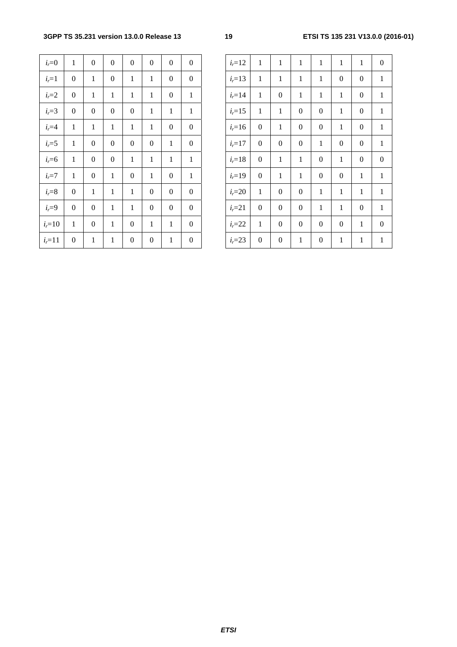| $i_r=0$    | $\mathbf{1}$     | $\boldsymbol{0}$ | $\boldsymbol{0}$ | $\boldsymbol{0}$ | $\mathbf{0}$     | $\boldsymbol{0}$ | $\mathbf{0}$     | $i_{r}=12$ | $\mathbf{1}$     | $\mathbf{1}$     | $\mathbf{1}$     | $\mathbf{1}$     | $\mathbf{1}$     | $\mathbf{1}$     | $\boldsymbol{0}$ |
|------------|------------------|------------------|------------------|------------------|------------------|------------------|------------------|------------|------------------|------------------|------------------|------------------|------------------|------------------|------------------|
| $i_{r}=1$  | $\boldsymbol{0}$ | $\mathbf{1}$     | $\boldsymbol{0}$ | $\mathbf{1}$     | $\mathbf{1}$     | $\overline{0}$   | $\mathbf{0}$     | $i_{r}=13$ | $\mathbf{1}$     | $\mathbf{1}$     | $\mathbf{1}$     | 1                | $\boldsymbol{0}$ | $\boldsymbol{0}$ | $\mathbf{1}$     |
| $i_r = 2$  | $\boldsymbol{0}$ | $\mathbf{1}$     | $\mathbf{1}$     | $\mathbf{1}$     | $\mathbf{1}$     | $\boldsymbol{0}$ | $\mathbf{1}$     | $i_{r}=14$ | $\mathbf{1}$     | $\boldsymbol{0}$ | $\mathbf{1}$     | $\mathbf{1}$     | $\mathbf{1}$     | $\boldsymbol{0}$ | 1                |
| $i_{r}=3$  | $\overline{0}$   | $\mathbf{0}$     | $\boldsymbol{0}$ | $\boldsymbol{0}$ | $\mathbf{1}$     | $\mathbf{1}$     | $\mathbf{1}$     | $i_{r}=15$ | $\mathbf{1}$     | $\mathbf{1}$     | $\boldsymbol{0}$ | $\boldsymbol{0}$ | $\mathbf{1}$     | $\boldsymbol{0}$ | 1                |
| $ir=4$     | $\mathbf{1}$     | $\mathbf{1}$     | $\mathbf{1}$     | $\mathbf{1}$     | $\mathbf{1}$     | $\boldsymbol{0}$ | $\boldsymbol{0}$ | $i_{r}=16$ | $\boldsymbol{0}$ | $\mathbf{1}$     | $\boldsymbol{0}$ | $\boldsymbol{0}$ | $\mathbf{1}$     | $\boldsymbol{0}$ | 1                |
| $i_{r}=5$  | $\mathbf{1}$     | $\boldsymbol{0}$ | $\boldsymbol{0}$ | $\boldsymbol{0}$ | $\boldsymbol{0}$ | $\mathbf{1}$     | $\boldsymbol{0}$ | $i_{r}=17$ | $\boldsymbol{0}$ | $\boldsymbol{0}$ | $\boldsymbol{0}$ | $\mathbf{1}$     | $\boldsymbol{0}$ | $\boldsymbol{0}$ | $\mathbf{1}$     |
| $i_{r}=6$  | $\mathbf{1}$     | $\mathbf{0}$     | $\mathbf{0}$     | $\mathbf{1}$     | $\mathbf{1}$     | $\mathbf{1}$     | $\mathbf{1}$     | $i_{r}=18$ | $\boldsymbol{0}$ | $\mathbf{1}$     | $\mathbf{1}$     | $\boldsymbol{0}$ | $\mathbf{1}$     | $\boldsymbol{0}$ | $\boldsymbol{0}$ |
| $i_{r}=7$  | $\mathbf{1}$     | $\mathbf{0}$     | $\mathbf{1}$     | $\boldsymbol{0}$ | $\mathbf{1}$     | $\overline{0}$   | $\mathbf{1}$     | $i_{r}=19$ | $\boldsymbol{0}$ | $\mathbf{1}$     | $\mathbf{1}$     | $\boldsymbol{0}$ | $\boldsymbol{0}$ | $\mathbf{1}$     | 1                |
| $i=8$      | $\overline{0}$   | $\mathbf{1}$     | $\mathbf{1}$     | $\mathbf{1}$     | $\boldsymbol{0}$ | $\boldsymbol{0}$ | $\mathbf{0}$     | $i_{r}=20$ | $\mathbf{1}$     | $\boldsymbol{0}$ | $\boldsymbol{0}$ | $\mathbf{1}$     | $\mathbf{1}$     | $\mathbf{1}$     | $\mathbf{1}$     |
| $ir=9$     | $\boldsymbol{0}$ | $\mathbf{0}$     | $\mathbf{1}$     | $\mathbf{1}$     | $\boldsymbol{0}$ | $\boldsymbol{0}$ | $\mathbf{0}$     | $i_{r}=21$ | $\boldsymbol{0}$ | $\boldsymbol{0}$ | $\boldsymbol{0}$ | 1                | $\mathbf{1}$     | $\boldsymbol{0}$ | $\mathbf{1}$     |
| $i_{r}=10$ | $\mathbf{1}$     | $\boldsymbol{0}$ | $\mathbf{1}$     | $\boldsymbol{0}$ | $\mathbf{1}$     | $\mathbf{1}$     | $\boldsymbol{0}$ | $i_{r}=22$ | $\mathbf{1}$     | $\boldsymbol{0}$ | $\boldsymbol{0}$ | $\boldsymbol{0}$ | $\boldsymbol{0}$ | $\mathbf{1}$     | $\boldsymbol{0}$ |
| $i_{r}=11$ | $\boldsymbol{0}$ | $\mathbf{1}$     | $\mathbf{1}$     | $\boldsymbol{0}$ | $\boldsymbol{0}$ | $\mathbf{1}$     | $\boldsymbol{0}$ | $i_{r}=23$ | $\boldsymbol{0}$ | $\boldsymbol{0}$ | $\mathbf{1}$     | $\boldsymbol{0}$ | $\mathbf{1}$     | $\mathbf{1}$     | 1                |

| $i_{r}=0$   | 1                | $\boldsymbol{0}$ | $\boldsymbol{0}$ | $\boldsymbol{0}$ | $\boldsymbol{0}$ | $\overline{0}$   | $\mathbf{0}$     | $i_{r}=12$ | $\mathbf{1}$     | $\mathbf{1}$     | $\mathbf{1}$     | 1                | $\mathbf{1}$     | $\mathbf{1}$     | $\mathbf{0}$     |
|-------------|------------------|------------------|------------------|------------------|------------------|------------------|------------------|------------|------------------|------------------|------------------|------------------|------------------|------------------|------------------|
| $i_{r}=1$   | $\boldsymbol{0}$ | 1                | $\boldsymbol{0}$ | $\mathbf{1}$     | $\mathbf{1}$     | $\boldsymbol{0}$ | $\boldsymbol{0}$ | $i_{r}=13$ | $\mathbf{1}$     | $\mathbf{1}$     | 1                | 1                | $\boldsymbol{0}$ | $\boldsymbol{0}$ | $\mathbf{1}$     |
| $i_{r}=2$   | $\boldsymbol{0}$ | 1                | $\mathbf{1}$     | $\mathbf{1}$     | $\mathbf{1}$     | $\boldsymbol{0}$ | $\mathbf{1}$     | $i_{r}=14$ | $\mathbf{1}$     | $\boldsymbol{0}$ | 1                | $\mathbf{1}$     | $\mathbf{1}$     | $\boldsymbol{0}$ | $\mathbf{1}$     |
| $i_{r}=3$   | $\boldsymbol{0}$ | $\boldsymbol{0}$ | $\boldsymbol{0}$ | $\boldsymbol{0}$ | $\mathbf{1}$     | 1                | $\mathbf{1}$     | $i_{r}=15$ | $\mathbf{1}$     | 1                | $\boldsymbol{0}$ | $\boldsymbol{0}$ | $\mathbf{1}$     | $\mathbf{0}$     | $\mathbf{1}$     |
| $ir=4$      | $\mathbf{1}$     | 1                | $\mathbf{1}$     | $\mathbf{1}$     | $\mathbf{1}$     | $\boldsymbol{0}$ | $\boldsymbol{0}$ | $i = 16$   | $\boldsymbol{0}$ | $\mathbf{1}$     | $\overline{0}$   | $\boldsymbol{0}$ | $\mathbf{1}$     | $\boldsymbol{0}$ | $\mathbf{1}$     |
| $i_{r} = 5$ | $\mathbf{1}$     | $\boldsymbol{0}$ | $\boldsymbol{0}$ | $\boldsymbol{0}$ | $\boldsymbol{0}$ | $\mathbf{1}$     | $\boldsymbol{0}$ | $i_{r}=17$ | $\boldsymbol{0}$ | $\boldsymbol{0}$ | $\boldsymbol{0}$ | $\mathbf{1}$     | $\boldsymbol{0}$ | $\boldsymbol{0}$ | $\mathbf{1}$     |
| $i=6$       | 1                | $\boldsymbol{0}$ | $\boldsymbol{0}$ | 1                | $\mathbf{1}$     | $\mathbf{1}$     | $\mathbf{1}$     | $i_{r}=18$ | $\boldsymbol{0}$ | $\mathbf{1}$     | $\mathbf{1}$     | $\mathbf{0}$     | $\mathbf{1}$     | $\mathbf{0}$     | $\boldsymbol{0}$ |
| $i_{r} = 7$ | 1                | $\boldsymbol{0}$ | $\mathbf{1}$     | $\boldsymbol{0}$ | $\mathbf{1}$     | $\boldsymbol{0}$ | $\mathbf{1}$     | $i_{r}=19$ | $\mathbf{0}$     | $\mathbf{1}$     | $\mathbf{1}$     | $\boldsymbol{0}$ | $\overline{0}$   | 1                | $\mathbf{1}$     |
| $i = 8$     | $\boldsymbol{0}$ | 1                | $\mathbf{1}$     | $\mathbf{1}$     | $\boldsymbol{0}$ | $\overline{0}$   | $\overline{0}$   | $i_{r}=20$ | $\mathbf{1}$     | $\boldsymbol{0}$ | $\boldsymbol{0}$ | $\mathbf{1}$     | $\mathbf{1}$     | 1                | $\mathbf{1}$     |
| $i_{r}=9$   | $\mathbf{0}$     | $\boldsymbol{0}$ | $\mathbf{1}$     | $\mathbf{1}$     | $\boldsymbol{0}$ | $\boldsymbol{0}$ | $\boldsymbol{0}$ | $i_{r}=21$ | $\mathbf{0}$     | $\boldsymbol{0}$ | $\boldsymbol{0}$ | $\mathbf{1}$     | $\mathbf{1}$     | $\boldsymbol{0}$ | $\mathbf{1}$     |
| $r = 10$    | $\mathbf{1}$     | $\boldsymbol{0}$ | 1                | $\boldsymbol{0}$ | $\mathbf{1}$     | 1                | $\boldsymbol{0}$ | $i_{r}=22$ | $\mathbf{1}$     | $\boldsymbol{0}$ | $\boldsymbol{0}$ | $\mathbf{0}$     | $\boldsymbol{0}$ | 1                | $\mathbf{0}$     |
| $r=11$      | $\boldsymbol{0}$ | 1                | 1                | $\boldsymbol{0}$ | $\boldsymbol{0}$ | 1                | $\boldsymbol{0}$ | $i_{r}=23$ | $\boldsymbol{0}$ | $\boldsymbol{0}$ | 1                | $\overline{0}$   | $\mathbf{1}$     | 1                | $\mathbf{1}$     |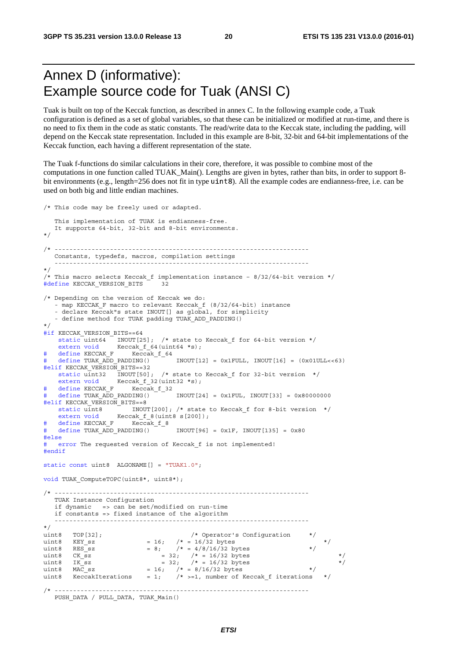### Annex D (informative): Example source code for Tuak (ANSI C)

Tuak is built on top of the Keccak function, as described in annex C. In the following example code, a Tuak configuration is defined as a set of global variables, so that these can be initialized or modified at run-time, and there is no need to fix them in the code as static constants. The read/write data to the Keccak state, including the padding, will depend on the Keccak state representation. Included in this example are 8-bit, 32-bit and 64-bit implementations of the Keccak function, each having a different representation of the state.

The Tuak f-functions do similar calculations in their core, therefore, it was possible to combine most of the computations in one function called TUAK\_Main(). Lengths are given in bytes, rather than bits, in order to support 8 bit environments (e.g., length=256 does not fit in type uint8). All the example codes are endianness-free, i.e. can be used on both big and little endian machines.

```
/* This code may be freely used or adapted. 
    This implementation of TUAK is endianness-free. 
    It supports 64-bit, 32-bit and 8-bit environments. 
*/ 
/* --------------------------------------------------------------------- 
    Constants, typedefs, macros, compilation settings 
 --------------------------------------------------------------------- 
*/ 
/* This macro selects Keccak_f implementation instance – 8/32/64-bit version */ 
#define KECCAK VERSION BITS 32
/* Depending on the version of Keccak we do: 
    - map KECCAK_F macro to relevant Keccak_f (8/32/64-bit) instance 
    - declare Keccak"s state INOUT[] as global, for simplicity 
    - define method for TUAK padding TUAK_ADD_PADDING() 
*/ 
#if KECCAK VERSION BITS==64
    static uint64 INOUT[25]; /* state to Keccak f for 64-bit version */
    extern void Keccak f 64(uint64 *s);
# define KECCAK_F Keccak_f_64 
    define TUAK ADD PADDING() \overline{a} INOUT[12] = 0x1FULL, INOUT[16] = (0x01ULL<<63)
#elif KECCAK_VERSION_BITS==32 
    static uint32 INOUT[50]; /* state to Keccak f for 32-bit version */extern void Keccak f 32(uint32 *s);
# define KECCAK_F Keccak_f_32 
   \text{define TUAK}\_\text{ADD}\_\text{PADDING}() \overline{\phantom{0}} \overline{\phantom{0}} \overline{\phantom{0}} \overline{\phantom{0}} \overline{\phantom{0}} \overline{\phantom{0}} \overline{\phantom{0}} \overline{\phantom{0}} \overline{\phantom{0}} \overline{\phantom{0}} \overline{\phantom{0}} \overline{\phantom{0}} \overline{\phantom{0}} \overline{\phantom{0}} \overline{\phantom{0}} \overline{\phantom{0}} \overline#elif KECCAK_VERSION_BITS==8 
                         INOUT[200]; /* state to Keccak f for 8-bit version */static units \overline{\text{INOUT}[200]}}; /* state<br>extern void Keccak_f_8(uint8 s[200]);
# define KECCAK_F Keccak_f_8 
# define TUAK_ADD_PADDING() T INOUT[96] = 0x1F, INOUT[135] = 0x80
#else
# error The requested version of Keccak f is not implemented!
#endif
static const uint8 ALGONAME[] = "TUAK1.0"; 
void TUAK ComputeTOPC(uint8*, uint8*);
/* --------------------------------------------------------------------- 
    TUAK Instance Configuration 
    if dynamic => can be set/modified on run-time 
    if constants => fixed instance of the algorithm 
    --------------------------------------------------------------------- 
*/ 
uint8 TOP[32]; \qquad /* Operator's Configuration */<br>uint8 KEY sz = 16; /* = 16/32 bytes
uint8 KEY sz = 16; /* = 16/32 bytes */
uint8 RES sz = 8; /* = 4/8/16/32 bytes */
uint8 CK sz = 32; /* = 16/32 bytes */
uint8 IK sz = 32; /* = 16/32 bytes */
uint8 MAC sz = 16; /* = 8/16/32 bytes */
uint8 KeccakIterations = 1; /* >=1, number of Keccak f iterations */
                      /* --------------------------------------------------------------------- 
   PUSH_DATA / PULL_DATA, TUAK_Main()
```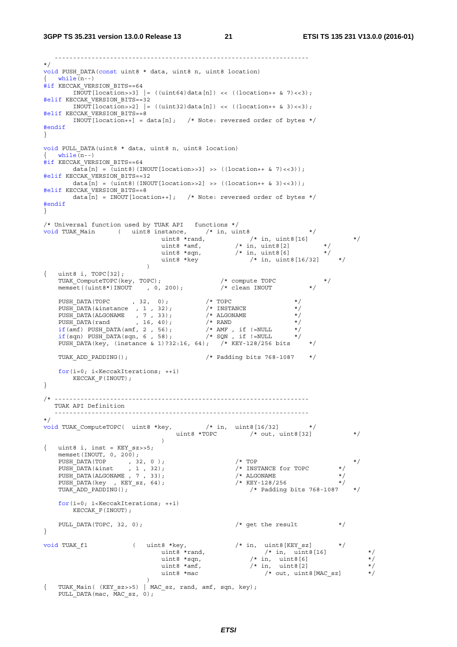```
 --------------------------------------------------------------------- 
*/ 
void PUSH DATA(const uint8 * data, uint8 n, uint8 location)
\{ while (n-1)#if KECCAK VERSION BITS==64
       INOUT[location>>3] | = ((uint64)data[n]) << ((location++ & 7)<<3);
#elif KECCAK_VERSION_BITS==32 
       INOUT[location>>2] |= ((uint32)data[n]) << ((location++ & 3) <<3);
#elif KECCAK_VERSION_BITS==8 
       INOUT [location++] = data[n]; /* Note: reversed order of bytes */
#endif
} 
void PULL DATA(uint8 * data, uint8 n, uint8 location)
\{ while (n-1)#if KECCAK VERSION BITS==64
       data[n] = \overline{(uint8)(INOUT[location>>3] >> ((location++ & 7)<<3));
#elif KECCAK_VERSION_BITS==32 
       data[n] = (uint8)(INOUT[location>>2] >> ((location++ & 3) <<3));#elif KECCAK_VERSION_BITS==8 
       \overline{a}[n] = INOUT [location++]; /* Note: reversed order of bytes */
#endif
} 
/* Universal function used by TUAK API functions */ 
void TUAK Main ( uint8 instance, \frac{1}{10} /* in, uint8 */
uint8 *rand, /* in, uint8[16] *uint8 *amf, \qquad /* in, uint8[2] \qquad */
uint8 *sqn, \frac{1}{2} /* in, uint8 [6] \frac{1}{2} /
uint8 *key \qquad \qquad /* in, uint8[16/32] \qquad \qquad */
){ uint8 i, TOPC[32]; 
TUAK ComputeTOPC(key, TOPC); \frac{1}{2} /* compute TOPC */
 memset((uint8*)INOUT , 0, 200); /* clean INOUT */ 
PUSH DATA(TOPC , 32, 0); /* TOPC */PUSH DATA(&instance , 1 , 32); \frac{1}{1} , 120); \frac{1}{1} \frac{1}{2} \frac{1}{2} \frac{1}{2} \frac{1}{2} \frac{1}{2} \frac{1}{2} \frac{1}{2} \frac{1}{2} \frac{1}{2} \frac{1}{2} \frac{1}{2} \frac{1}{2} \frac{1}{2} \frac{1}{2} \frac{1}{2} \frac{1}{2} \PUSH DATA(ALGONAME , 7, 33); /* ALGONAME */
PUSH DATA(rand , 16, 40); /* RAND */if(amf) PUSH_DATA(amf, 2, 56); / /* AMF, if !=NULL */
    if(sqn) PUSH_DATA(sqn, 6 , 58); / * SQN , if !=NULL */
PUSH DATA(key, (instance & 1)?32:16, 64); /* KEY-128/256 bits */
    TUAK_ADD_PADDING(); /* Padding bits 768-1087 */ 
   for(i=0; i<KeccakIterations; ++i) 
     KECCAK_F(INOUT); 
} 
/* --------------------------------------------------------------------- 
   TUAK API Definition 
    --------------------------------------------------------------------- 
*/ 
void TUAK ComputeTOPC( uint8 *key, \frac{1}{2} /* in, uint8[16/32] */
                                   uint8 *TOPC /* out, uint8[32] */
 ) 
{ uint8 i, inst = KEY sz>>5;
   memset(INOUT, 0, 200);
PUSH_DATA(TOP \begin{array}{ccc} , & 32, & 0 \\ , & \end{array} ); \begin{array}{ccc} \end{array} \begin{array}{ccc} \end{array} \begin{array}{ccc} \end{array} \begin{array}{ccc} \end{array} \begin{array}{ccc} \end{array}PUSH DATA(&inst , 1, 32); / /* INSTANCE for TOPC */ PUSH_DATA(ALGONAME , 7 , 33); /* ALGONAME */ 
   \frac{1}{2}DATA(key , KEY_sz, 64);<br>TUAK ADD PADDING();
                                                        /* Padding bits 768-1087
    for(i=0; i<KeccakIterations; ++i) 
      KECCAK F(INOUT);
   PULL DATA(TOPC, 32, 0); \frac{1}{4} get the result \frac{1}{4}} 
void TUAK_f1 ( uint8 *key, \begin{array}{ccc} \n\text{void TUAK_f1} & \text{( } \text{uint8 } * \text{key}, & \text{/* in, } \text{uint8}[\text{KEY\_sz}] & \n\text{ } & \text{uint8 } * \text{rand}, & \text{/* in, } \text{uint8}[16] \\
\text{ } & \text{uint8 } * \text{agn}, & \text{/* in, } \text{uint8}[6] \\
\text{ } & \text{uint8 } * \text{mar}, & \text{/* in, } \text{uint8}[2] \\
\text{ } & \text{uint8 } * \text{mac} & \text{/* out, } \text{uint8uint8 *rand, /* in, uint8[16] */
uint8 *sqn, \hspace{1cm} /* in, uint8[6] * /
uint8 \staramf, \starin, uint8[2] \star/
                                                            /* out, uint8 [MAC\_sz]) and the contract of \mathcal{L}{ TUAK Main( (KEY sz>>5) | MAC sz, rand, amf, sqn, key);
   PULL DATA(mac, MAC sz, 0);
```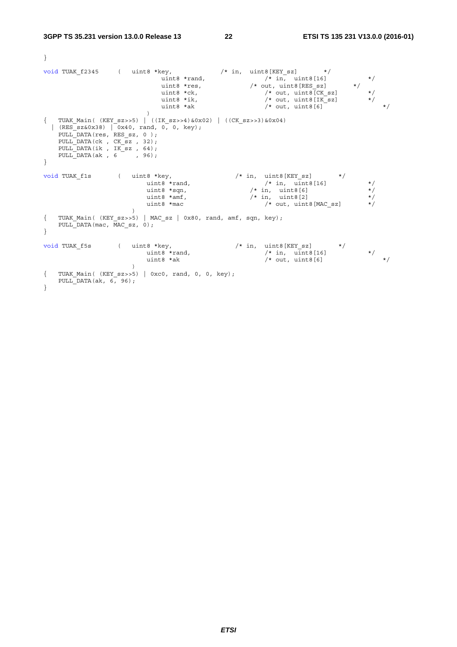}

```
void TUAK f2345 ( uint8 *key, \hspace{1cm} /* in, uint8[KEY_sz] */
uint8 *rand, \vert /* in, uint8[16] \vert */
uint8 *res, \overline{\phantom{a}} /* out, uint8 [RES sz] \overline{\phantom{a}} */
uint8 *ck, /* out, uint8[CKsz] */uint8 *ik, /* out, with (ik) (ik) (ik) (ik) (ik) (ik) (ik) (ik) (ik) (ik) (ik) (ik) (ik) (ik) (ik) (ik) (ik) (ik) (ik) (ik) (ik) (ik) (ik) (ik) (ik) (ik) (ik) (ik) (ik) (ik) (ik) (ik) (ik) uint8 *ak \qquad /* out, uint8[6] \qquad */
)\{ TUAK Main( (KEY sz>>5) | ((IK sz>>4)&0x02) | ((CK sz>>3)&0x04)
 | (RES_Sz&0x38) | 0x40, rand, 0, 0, key);
   PULL_DATA(res, RES_sz, 0 ); 
  PULL_DATA(ck, CK_sz, 32);
PULL DATA(ik , IK sz , 64);
PULL DATA(ak, 6, 96);
} 
void TUAK f1s ( uint8 *key, \hspace{1cm} /* in, uint8[KEY sz] */
uint8 *rand, \hspace{1.6cm} /* in, uint8[16] */
uint8 \starsqn, \frac{1}{2} \star \frac{1}{2} \star \frac{1}{2} \star \frac{1}{2} \star \star \frac{1}{2} \star \star \frac{1}{2} \star \staruint8 \star amf, \star in, uint8[2] \star/
uint8 *mac / * out, uint8[MAC_sz] */ ) 
{ TUAK Main( (KEY sz>>5) | MAC sz | 0x80, rand, amf, sqn, key);
  PULL_DATA(mac, MAC_sz, 0);
} 
void TUAK f5s ( uint8 *key, \frac{1}{10} /* in, uint8[KEY sz] */
uint8 *rand, \hspace{1.6cm} /* in, uint8[16] */
uint8 *ak \star/ \star out, uint8[6] \star/){ TUAK_Main( (KEY_sz>>5) | 0xc0, rand, 0, 0, key); 
  PULL DATA(ak, 6, 96);
}
```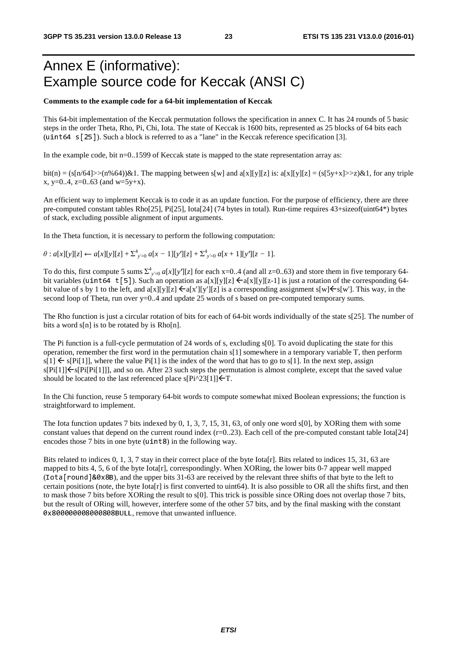### Annex E (informative): Example source code for Keccak (ANSI C)

#### **Comments to the example code for a 64-bit implementation of Keccak**

This 64-bit implementation of the Keccak permutation follows the specification in annex C. It has 24 rounds of 5 basic steps in the order Theta, Rho, Pi, Chi, Iota. The state of Keccak is 1600 bits, represented as 25 blocks of 64 bits each (uint64 s[25]). Such a block is referred to as a "lane" in the Keccak reference specification [3].

In the example code, bit n=0..1599 of Keccak state is mapped to the state representation array as:

bit(n) = (s[n/64]>>(n%64))&1. The mapping between s[w] and a[x][y][z] is: a[x][y][z] = (s[5y+x]>>z)&1, for any triple x, y=0..4, z=0..63 (and  $w=5y+x$ ).

An efficient way to implement Keccak is to code it as an update function. For the purpose of efficiency, there are three pre-computed constant tables Rho[25], Pi[25], Iota[24] (74 bytes in total). Run-time requires 43+sizeof(uint64\*) bytes of stack, excluding possible alignment of input arguments.

In the Theta function, it is necessary to perform the following computation:

 $\theta$  :  $a[x][y][z] \leftarrow a[x][y][z] + \sum_{y=0}^{4} a[x-1][y'][z] + \sum_{y=0}^{4} a[x+1][y'][z-1].$ 

To do this, first compute 5 sums  $\Sigma^4_{y=0} a[x][y][z]$  for each x=0..4 (and all z=0..63) and store them in five temporary 64-<br>bit variables (uint64 t[5]). Such an operation as  $a[x][y][z] \leftarrow a[x][y][z-1]$  is just a rotation of the bit variables (uint64 t[5]). Such an operation as  $a[x][y][z] \in a[x][y][z-1]$  is just a rotation of the corresponding 64bit value of s by 1 to the left, and a[x][y][z]  $\leq a[x'[[y'][z] ]$  is a corresponding assignment s[w] $\leq s[w']$ . This way, in the second loop of Theta, run over y=0..4 and update 25 words of s based on pre-computed temporary sums.

The Rho function is just a circular rotation of bits for each of 64-bit words individually of the state s[25]. The number of bits a word  $s[n]$  is to be rotated by is Rho $[n]$ .

The Pi function is a full-cycle permutation of 24 words of s, excluding s[0]. To avoid duplicating the state for this operation, remember the first word in the permutation chain s[1] somewhere in a temporary variable T, then perform  $s[1] \leftarrow s[Pi[1]]$ , where the value Pi[1] is the index of the word that has to go to s[1]. In the next step, assign  $s[Pi[1]]\leq s[Pi[Pi[1]]]$ , and so on. After 23 such steps the permutation is almost complete, except that the saved value should be located to the last referenced place  $s[Pi^23[1]] \leftarrow T$ .

In the Chi function, reuse 5 temporary 64-bit words to compute somewhat mixed Boolean expressions; the function is straightforward to implement.

The Iota function updates 7 bits indexed by 0, 1, 3, 7, 15, 31, 63, of only one word s[0], by XORing them with some constant values that depend on the current round index  $(r=0..23)$ . Each cell of the pre-computed constant table Iota[24] encodes those 7 bits in one byte (uint8) in the following way.

Bits related to indices 0, 1, 3, 7 stay in their correct place of the byte Iota[r]. Bits related to indices 15, 31, 63 are mapped to bits 4, 5, 6 of the byte Iota[r], correspondingly. When XORing, the lower bits 0-7 appear well mapped (Iota[round]&0x8B), and the upper bits 31-63 are received by the relevant three shifts of that byte to the left to certain positions (note, the byte  $Iota[r]$  is first converted to uint64). It is also possible to OR all the shifts first, and then to mask those 7 bits before XORing the result to s[0]. This trick is possible since ORing does not overlap those 7 bits, but the result of ORing will, however, interfere some of the other 57 bits, and by the final masking with the constant 0x800000008000808BULL, remove that unwanted influence.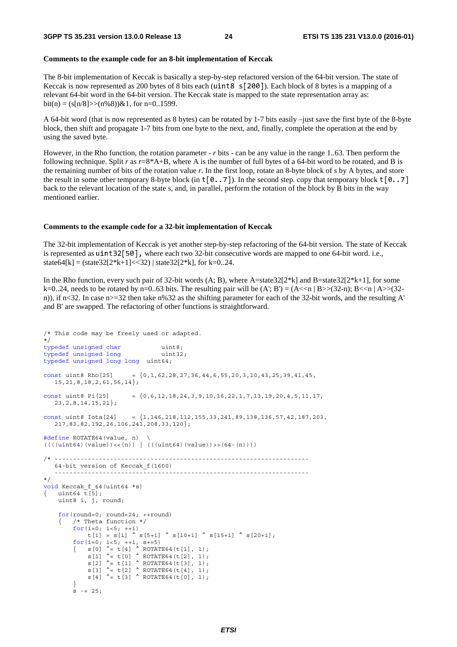#### **Comments to the example code for an 8-bit implementation of Keccak**

The 8-bit implementation of Keccak is basically a step-by-step refactored version of the 64-bit version. The state of Keccak is now represented as 200 bytes of 8 bits each (uint  $8 \times 200$ ). Each block of 8 bytes is a mapping of a relevant 64-bit word in the 64-bit version. The Keccak state is mapped to the state representation array as: bit(n) =  $(s[n/8] \gg (n\%8)) \& 1$ , for n=0..1599.

A 64-bit word (that is now represented as 8 bytes) can be rotated by 1-7 bits easily –just save the first byte of the 8-byte block, then shift and propagate 1-7 bits from one byte to the next, and, finally, complete the operation at the end by using the saved byte.

However, in the Rho function, the rotation parameter - *r* bits - can be any value in the range 1..63. Then perform the following technique. Split *r* as  $r=8+A+B$ , where A is the number of full bytes of a 64-bit word to be rotated, and B is the remaining number of bits of the rotation value *r*. In the first loop, rotate an 8-byte block of s by A bytes, and store the result in some other temporary 8-byte block (in  $\tau[0..7]$ ). In the second step. copy that temporary block  $\tau[0..7]$ back to the relevant location of the state s, and, in parallel, perform the rotation of the block by B bits in the way mentioned earlier.

#### **Comments to the example code for a 32-bit implementation of Keccak**

The 32-bit implementation of Keccak is yet another step-by-step refactoring of the 64-bit version. The state of Keccak is represented as uint32[50], where each two 32-bit consecutive words are mapped to one 64-bit word. i.e., state64[k] = (state32[2\*k+1] <  $32$ ] | state32[2\*k], for k=0..24.

In the Rho function, every such pair of 32-bit words  $(A; B)$ , where A=state32[2\*k] and B=state32[2\*k+1], for some k=0..24, needs to be rotated by n=0..63 bits. The resulting pair will be  $(A; B') = (A < n | B > (32-n); B < n | A > (32-n)$ n)), if n<32. In case n>=32 then take n%32 as the shifting parameter for each of the 32-bit words, and the resulting A' and B' are swapped. The refactoring of other functions is straightforward.

```
/* This code may be freely used or adapted. 
*/ 
typedef unsigned char uint8;
typedef unsigned long uint32;
typedef unsigned long long uint64; 
const uint8 Rho[25] = {0,1,62,28,27,36,44,6,55,20,3,10,43,25,39,41,45,
   15,21,8,18,2,61,56,14}; 
const uint8 Pi[25] = \{0, 6, 12, 18, 24, 3, 9, 10, 16, 22, 1, 7, 13, 19, 20, 4, 5, 11, 17, 23,2,8,14,15,21}; 
const uint8 Iota[24] = \{1,146,218,112,155,33,241,89,138,136,57,42,187,203, 217,83,82,192,26,106,241,208,33,120}; 
#define ROTATE64(value, n) \ 
((((uint64)(value)) \ll (n)) | ((uint64)(value)) \gg (64-(n))))/* --------------------------------------------------------------------- 
   64-bit version of Keccak_f(1600) 
    --------------------------------------------------------------------- 
*/ 
void Keccak f 64(uint64 *s)
{ uint64 \overline{t}[5];
    uint8 i, j, round; 
   for(round=0; round<24; ++round) 
     { /* Theta function */ 
        for(i=0; i<5; +i)
           t[i] = s[i] ^ s[5+i] ^ s[10+i] ^ s[15+i] ^ s[20+i];
for(i=0; i<5; ++i, s+=5)\{ s[0] ^= t[4] ^ ROTATE64(t[1], 1);
s[1] ^= t[0] ^ ROTATE64(t[2], 1);
           s[2] \sim t[1] \sim ROTATE64(t[3], 1);
            s[3] ^= t[2] ^ ROTATE64(t[4], 1);
            s[4] \sim t[3] \sim ROTATE64(t[0], 1);
 } 
        \frac{1}{5} -= 25;
```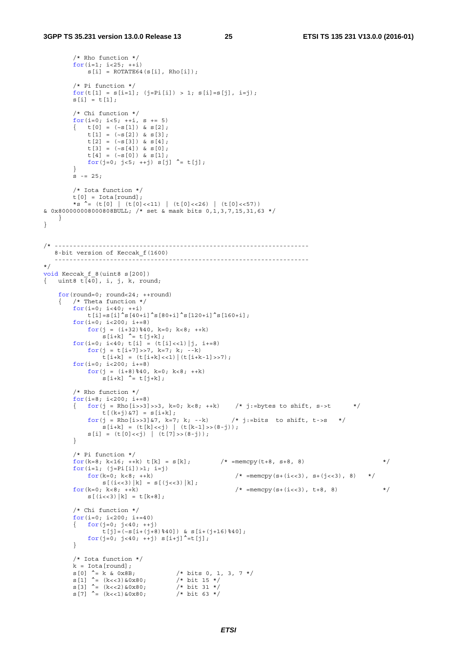/\* Rho function \*/

}

```
for(i=1; i<25; ++i)s[i] = ROTATE64(s[i], Rho[i]); /* Pi function */ 
        for(t[1] = s[i=1]; (j=Pi[i]) > 1; s[i]=s[j], i=j);
        s[i] = t[1]; /* Chi function */ 
        for(i=0; i<5; ++i, s += 5)\left\{ \begin{array}{rcl} t[0] = (-s[1]) & \& s[2]; \end{array} \right.t[1] = (-s[2]) \& s[3];t[2] = (-s[3]) & s[4];
            t[3] = (-s[4]) & s[0];
             t[4] = (-s[0]) \& s[1];for(j=0; j<5; ++j) s[j] ^= t[j];
 } 
        s = 25;
         /* Iota function */ 
        t[0] = \text{Iota}[\text{round}];
        *s ^= (t[0] | (t[0]<<11) | (t[0]<<26) | (t[0]<<57))
& 0x800000008000808BULL; /* set & mask bits 0,1,3,7,15,31,63 */ 
    } 
/* --------------------------------------------------------------------- 
    8-bit version of Keccak_f(1600) 
   --------------------------------------------------------------------- 
*/ 
void Keccak f 8(uint8 s[200])
{ uint8 t[40], i, j, k, round;
    for(round=0; round<24; ++round) 
     { /* Theta function */ 
for(i=0; i<40; ++i)
 t[i]=s[i]^s[40+i]^s[80+i]^s[120+i]^s[160+i]; 
        for(i=0; i<200; i+=8)for(j = (i+32) %40, k=0; k<8; ++k)
                s[i+k] \uparrow t[j+k];
        for(i=0; i<40; t[i] = (t[i] <<1)|j, i+=8)
            for(j = t[i+7]>7, k=7; k; -i=k)
                t[i+k] = (t[i+k] << 1) | (t[i+k-1] >> 7);for(i=0; i<200; i+=8)for(j = (i+8) %40, k=0; k<8; ++k)
                 s[i+k] \sim t[j+k];
          /* Rho function */ 
        for(i=8; i<200; i+=8)
         { for(j = Rho[i>>3]>3, k=0; k<8; ++k) /* j:=bytes to shift, s->t */
                t[(k+j) & 7] = s[i+k];f(x+y)/x' = s(1+k);<br>f(x) = Rho[i>>3]\&7, k=7; k; --k /* j:=bits to shift, t->s */
                 s[i+k] = (t[k]<1 | (t[k-1]>>(8-i));
             s[i] = (t[0]<1 | (t[7]>(8-i));
         } 
         /* Pi function */ 
for(k=8; k<16; ++k) t[k] = s[k]; /* =memcpy(t+8, s+8, 8) */
for(i=1; (j=Pi[i]) > 1; i=j)for (k=0; k<8; ++k /* =memcpy (s+(i<<3), s+(j<<3), 8) */
        s[(i<<3) | k] = s[(j<<3) | k];<br>for (k=0; k<8; ++k)/* = \text{memory}(s + (i < 3), t + 8, 8) */
            s[(i\ll 3)[k] = t[k+8]; /* Chi function */ 
         for(i=0; i<200; i+=40)
         \{ for (j=0; j<40; ++j)t[j] = (-s[i+(j+8) * 40]) & s[i+(j+16) * 40];
             for(j=0; j<40; ++j) s[i+j]<sup>\sim</sup>=t[j];
         } 
         /* Iota function */ 
        k = Iota [round];
        s[0] ^= k & 0x8B; <br>
s[1] ^= (k<<3) &0x80; <br>
s[3] ^= (k<<3) &0x80; <br>
/* bit 15 */<br>
s[3] ^= (k<<2) &0x80; <br>
/* bit 31 */<br>
s[7] ^= (k<<1) &0x80; <br>
/* bit 31 */<br>
bit 63 */
        s[1] \sim (k<<3) \&0x80; s[3] ^= (k<<2)&0x80; /* bit 31 */ 
        s[7] \uparrow (k<<1) &0x80;
```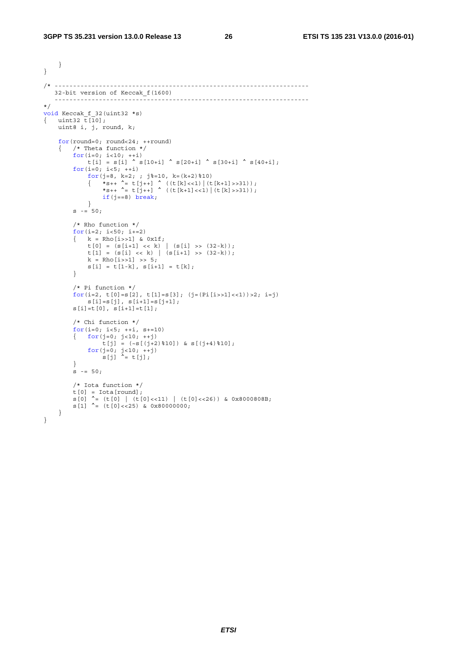Ĩ.

```
 } 
} 
/* --------------------------------------------------------------------- 
   32-bit version of Keccak_f(1600) 
    --------------------------------------------------------------------- 
*/ 
void Keccak_f_32(uint32 *s) 
{ uint32 \overline{t} [10];
    uint8 i, j, round, k; 
   for(round=0; round<24; ++round) 
    { /* Theta function */ 
for(i=0; i<10; ++i)
t[i] = s[i] ^ s[10+i] ^ s[20+i] ^ s[30+i] ^ s[40+i];
       for(i=0; i<5; +i)
           for(j=8, k=2; ; j%=10, k=(k+2)%10)
\{ *_{S++} \stackrel{\star}{=} t[j_{++}] \stackrel{\star}{\sim} ((t[k_{1}<1)] (t[k_{+1}]>31));*s++ ^= t[j++] ^ ((t[k+1]<<1)|(t[k]>>31));
              if(j == 8) break;
            } 
       s = 50; /* Rho function */ 
       for(i=2; i<50; i+=2)
       \{ k = Rho[i>>1] \& 0x1f;t[0] = (s[i+1] << k) | (s[i] >> (32-k));t[1] = (s[i] << k) | (s[i+1] >> (32-k));k = Rho[i>>1] >> 5;s[i] = t[1-k], s[i+1] = t[k]; } 
        /* Pi function */ 
       \texttt{for(i=2, t[0]=s[2], t[1]=s[3]; (j=(Pi[i>>1]<-1))>2; i=j)}s[i]=s[j], s[i+1]=s[j+1];s[i]=t[0], \quad s[i+1]=t[1]; /* Chi function */ 
       for(i=0; i<5; ++i, s+=10){ for(j=0; j<10; ++j)t[j] = (-s[(j+2) * 10]) & s[(j+4) * 10];
for(j=0; j<10; ++j)s[j] \hat{i} = t[j];
        } 
       s = 50; /* Iota function */ 
t[0] = Iota[round]; s[0] ^= (t[0] | (t[0]<<11) | (t[0]<<26)) & 0x8000808B; 
       s[1] \sim (t[0]<125) & 0x80000000;
    } 
}
```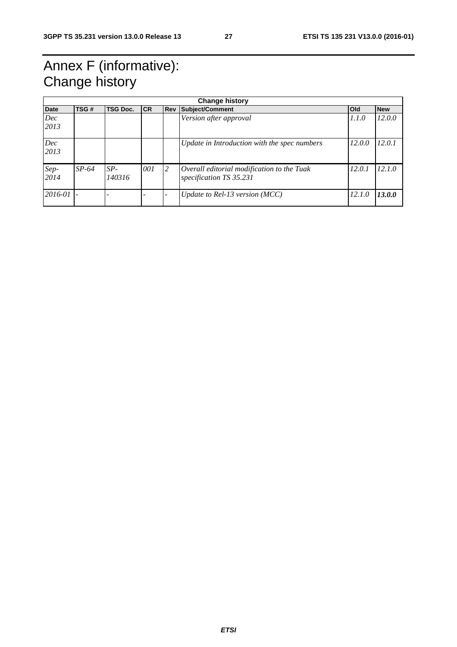### Annex F (informative): Change history

|              | <b>Change history</b> |                 |           |            |                                                                       |            |            |  |  |  |
|--------------|-----------------------|-----------------|-----------|------------|-----------------------------------------------------------------------|------------|------------|--|--|--|
| <b>Date</b>  | TSG#                  | <b>TSG Doc.</b> | <b>CR</b> | <b>Rev</b> | Subject/Comment                                                       | <b>Old</b> | <b>New</b> |  |  |  |
| Dec<br>2013  |                       |                 |           |            | Version after approval                                                | 1.1.0      | 12.0.0     |  |  |  |
| Dec<br>2013  |                       |                 |           |            | Update in Introduction with the spec numbers                          | 12.0.0     | 12.0.1     |  |  |  |
| Sep-<br>2014 | $SP-64$               | $SP-$<br>140316 | 001       | 2          | Overall editorial modification to the Tuak<br>specification TS 35.231 | 12.0.1     | 12.1.0     |  |  |  |
| 2016-01      |                       |                 |           |            | Update to Rel-13 version (MCC)                                        | 12.1.0     | 13.0.0     |  |  |  |